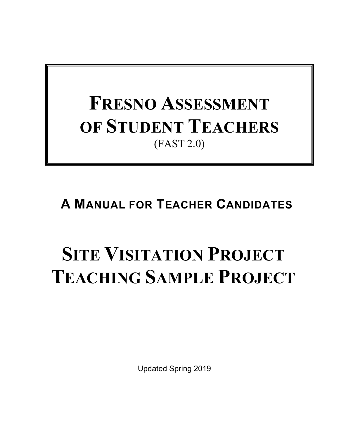# **FRESNO ASSESSMENT OF STUDENT TEACHERS** (FAST 2.0)

## **A MANUAL FOR TEACHER CANDIDATES**

# **SITE VISITATION PROJECT TEACHING SAMPLE PROJECT**

Updated Spring 2019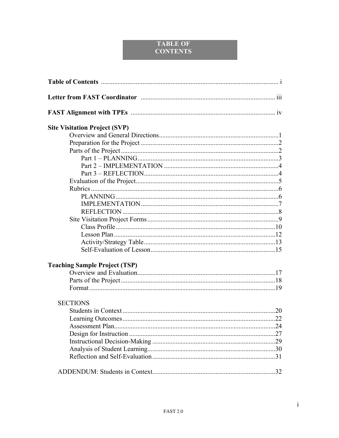### **TABLE OF CONTENTS**

| <b>Site Visitation Project (SVP)</b> |  |
|--------------------------------------|--|
|                                      |  |
|                                      |  |
|                                      |  |
|                                      |  |
|                                      |  |
|                                      |  |
|                                      |  |
|                                      |  |
|                                      |  |
|                                      |  |
|                                      |  |
|                                      |  |
|                                      |  |
|                                      |  |
|                                      |  |
|                                      |  |
| <b>Teaching Sample Project (TSP)</b> |  |
|                                      |  |
|                                      |  |
|                                      |  |
| <b>SECTIONS</b>                      |  |
|                                      |  |
|                                      |  |
| Assessment Plan                      |  |
|                                      |  |
|                                      |  |
|                                      |  |
|                                      |  |
|                                      |  |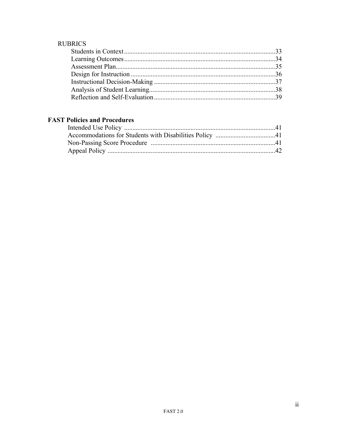## **RUBRICS**

## **FAST Policies and Procedures**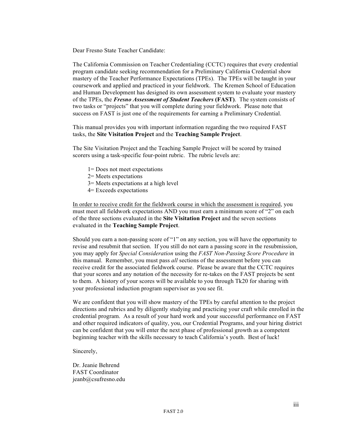Dear Fresno State Teacher Candidate:

The California Commission on Teacher Credentialing (CCTC) requires that every credential program candidate seeking recommendation for a Preliminary California Credential show mastery of the Teacher Performance Expectations (TPEs). The TPEs will be taught in your coursework and applied and practiced in your fieldwork. The Kremen School of Education and Human Development has designed its own assessment system to evaluate your mastery of the TPEs, the *Fresno Assessment of Student Teachers* **(FAST)**. The system consists of two tasks or "projects" that you will complete during your fieldwork. Please note that success on FAST is just one of the requirements for earning a Preliminary Credential.

This manual provides you with important information regarding the two required FAST tasks, the **Site Visitation Project** and the **Teaching Sample Project**.

The Site Visitation Project and the Teaching Sample Project will be scored by trained scorers using a task-specific four-point rubric. The rubric levels are:

- 1= Does not meet expectations
- 2= Meets expectations
- 3= Meets expectations at a high level
- 4= Exceeds expectations

In order to receive credit for the fieldwork course in which the assessment is required, you must meet all fieldwork expectations AND you must earn a minimum score of "2" on each of the three sections evaluated in the **Site Visitation Project** and the seven sections evaluated in the **Teaching Sample Project**.

Should you earn a non-passing score of "1" on any section, you will have the opportunity to revise and resubmit that section. If you still do not earn a passing score in the resubmission, you may apply for *Special Consideration* using the *FAST Non-Passing Score Procedure* in this manual. Remember, you must pass *all* sections of the assessment before you can receive credit for the associated fieldwork course. Please be aware that the CCTC requires that your scores and any notation of the necessity for re-takes on the FAST projects be sent to them. A history of your scores will be available to you through Tk20 for sharing with your professional induction program supervisor as you see fit.

We are confident that you will show mastery of the TPEs by careful attention to the project directions and rubrics and by diligently studying and practicing your craft while enrolled in the credential program. As a result of your hard work and your successful performance on FAST and other required indicators of quality, you, our Credential Programs, and your hiring district can be confident that you will enter the next phase of professional growth as a competent beginning teacher with the skills necessary to teach California's youth. Best of luck!

Sincerely,

Dr. Jeanie Behrend FAST Coordinator jeanb@csufresno.edu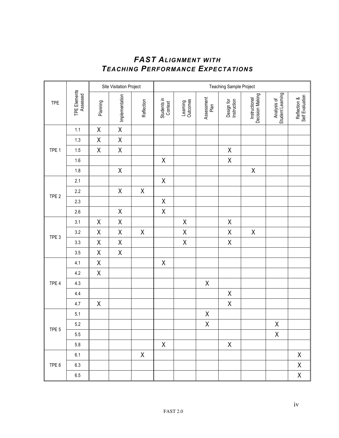## *FAST ALIGNMENT WITH TEACHING PERFORMANCE EXPECTATIONS*

|                  |                          | Site Visitation Project |                |             | Teaching Sample Project |                      |                    |                           |                                  |                                 |                                 |
|------------------|--------------------------|-------------------------|----------------|-------------|-------------------------|----------------------|--------------------|---------------------------|----------------------------------|---------------------------------|---------------------------------|
| <b>TPE</b>       | TPE Elements<br>Assessed | Planning                | Implementation | Reflection  | Students in<br>Context  | Learning<br>Outcomes | Assessment<br>Plan | Design for<br>Instruction | Instructional<br>Decision Making | Analysis of<br>Student Learning | Self Evaluation<br>Reflection & |
|                  | 1.1                      | $\mathsf X$             | $\mathsf X$    |             |                         |                      |                    |                           |                                  |                                 |                                 |
|                  | 1.3                      | $\mathsf X$             | $\mathsf X$    |             |                         |                      |                    |                           |                                  |                                 |                                 |
| TPE 1            | 1.5                      | $\mathsf X$             | $\mathsf X$    |             |                         |                      |                    | $\mathsf X$               |                                  |                                 |                                 |
|                  | 1.6                      |                         |                |             | $\mathsf X$             |                      |                    | X                         |                                  |                                 |                                 |
|                  | 1.8                      |                         | $\mathsf X$    |             |                         |                      |                    |                           | $\mathsf X$                      |                                 |                                 |
|                  | 2.1                      |                         |                |             | $\mathsf X$             |                      |                    |                           |                                  |                                 |                                 |
|                  | 2.2                      |                         | $\mathsf X$    | $\mathsf X$ |                         |                      |                    |                           |                                  |                                 |                                 |
| TPE <sub>2</sub> | 2.3                      |                         |                |             | $\mathsf X$             |                      |                    |                           |                                  |                                 |                                 |
|                  | 2.6                      |                         | $\mathsf X$    |             | $\mathsf X$             |                      |                    |                           |                                  |                                 |                                 |
|                  | 3.1                      | Χ                       | $\mathsf X$    |             |                         | $\pmb{\mathsf{X}}$   |                    | $\mathsf X$               |                                  |                                 |                                 |
|                  | 3.2                      | Χ                       | $\mathsf X$    | $\mathsf X$ |                         | $\pmb{\mathsf{X}}$   |                    | X                         | Χ                                |                                 |                                 |
| TPE <sub>3</sub> | 3.3                      | $\mathsf X$             | $\mathsf X$    |             |                         | $\mathsf X$          |                    | X                         |                                  |                                 |                                 |
|                  | 3.5                      | $\mathsf X$             | $\mathsf X$    |             |                         |                      |                    |                           |                                  |                                 |                                 |
|                  | 4.1                      | $\mathsf X$             |                |             | $\mathsf X$             |                      |                    |                           |                                  |                                 |                                 |
|                  | $4.2\,$                  | $\mathsf X$             |                |             |                         |                      |                    |                           |                                  |                                 |                                 |
| TPE 4            | 4.3                      |                         |                |             |                         |                      | $\mathsf X$        |                           |                                  |                                 |                                 |
|                  | 4.4                      |                         |                |             |                         |                      |                    | Χ                         |                                  |                                 |                                 |
|                  | 4.7                      | $\mathsf X$             |                |             |                         |                      |                    | X                         |                                  |                                 |                                 |
|                  | 5.1                      |                         |                |             |                         |                      | $\mathsf X$        |                           |                                  |                                 |                                 |
|                  | $5.2\,$                  |                         |                |             |                         |                      | $\sf X$            |                           |                                  | X                               |                                 |
| TPE <sub>5</sub> | $5.5\,$                  |                         |                |             |                         |                      |                    |                           |                                  | $\mathsf X$                     |                                 |
|                  | $5.8\,$                  |                         |                |             | $\mathsf X$             |                      |                    | X                         |                                  |                                 |                                 |
|                  | 6.1                      |                         |                | $\mathsf X$ |                         |                      |                    |                           |                                  |                                 | X                               |
| TPE 6            | 6.3                      |                         |                |             |                         |                      |                    |                           |                                  |                                 | X                               |
|                  | $6.5\,$                  |                         |                |             |                         |                      |                    |                           |                                  |                                 | $\sf X$                         |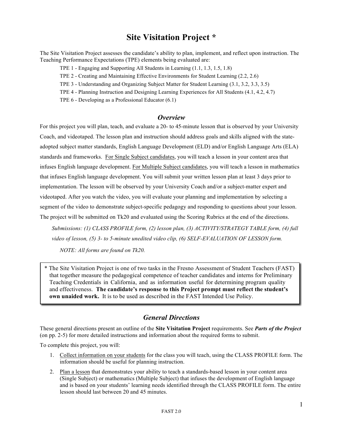## **Site Visitation Project \***

The Site Visitation Project assesses the candidate's ability to plan, implement, and reflect upon instruction. The Teaching Performance Expectations (TPE) elements being evaluated are:

TPE 1 - Engaging and Supporting All Students in Learning (1.1, 1.3, 1.5, 1.8)

TPE 2 - Creating and Maintaining Effective Environments for Student Learning (2.2, 2.6)

TPE 3 - Understanding and Organizing Subject Matter for Student Learning (3.1, 3.2, 3.3, 3.5)

TPE 4 - Planning Instruction and Designing Learning Experiences for All Students (4.1, 4.2, 4.7)

TPE 6 - Developing as a Professional Educator (6.1)

#### *Overview*

For this project you will plan, teach, and evaluate a 20- to 45-minute lesson that is observed by your University Coach, and videotaped. The lesson plan and instruction should address goals and skills aligned with the stateadopted subject matter standards, English Language Development (ELD) and/or English Language Arts (ELA) standards and frameworks. For Single Subject candidates, you will teach a lesson in your content area that infuses English language development. For Multiple Subject candidates, you will teach a lesson in mathematics that infuses English language development. You will submit your written lesson plan at least 3 days prior to implementation. The lesson will be observed by your University Coach and/or a subject-matter expert and videotaped. After you watch the video, you will evaluate your planning and implementation by selecting a segment of the video to demonstrate subject-specific pedagogy and responding to questions about your lesson. The project will be submitted on Tk20 and evaluated using the Scoring Rubrics at the end of the directions.

*Submissions: (1) CLASS PROFILE form, (2) lesson plan, (3) ACTIVITY/STRATEGY TABLE form, (4) full video of lesson, (5) 3- to 5-minute unedited video clip, (6) SELF-EVALUATION OF LESSON form.* 

*NOTE: All forms are found on Tk20.*

\* The Site Visitation Project is one of two tasks in the Fresno Assessment of Student Teachers (FAST) that together measure the pedagogical competence of teacher candidates and interns for Preliminary Teaching Credentials in California, and as information useful for determining program quality and effectiveness. **The candidate's response to this Project prompt must reflect the student's own unaided work.** It is to be used as described in the FAST Intended Use Policy.

### *General Directions*

These general directions present an outline of the **Site Visitation Project** requirements. See *Parts of the Project* (on pp. 2-5) for more detailed instructions and information about the required forms to submit.

To complete this project, you will:

- 1. Collect information on your students for the class you will teach, using the CLASS PROFILE form. The information should be useful for planning instruction.
- 2. Plan a lesson that demonstrates your ability to teach a standards-based lesson in your content area (Single Subject) or mathematics (Multiple Subject) that infuses the development of English language and is based on your students' learning needs identified through the CLASS PROFILE form. The entire lesson should last between 20 and 45 minutes.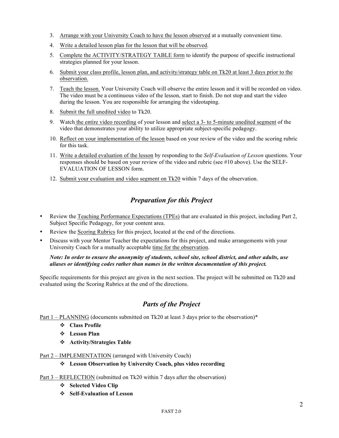- 3. Arrange with your University Coach to have the lesson observed at a mutually convenient time.
- 4. Write a detailed lesson plan for the lesson that will be observed.
- 5. Complete the ACTIVITY/STRATEGY TABLE form to identify the purpose of specific instructional strategies planned for your lesson.
- 6. Submit your class profile, lesson plan, and activity/strategy table on Tk20 at least 3 days prior to the observation.
- 7. Teach the lesson. Your University Coach will observe the entire lesson and it will be recorded on video. The video must be a continuous video of the lesson, start to finish. Do not stop and start the video during the lesson. You are responsible for arranging the videotaping.
- 8. Submit the full unedited video to Tk20.
- 9. Watch the entire video recording of your lesson and select a 3- to 5-minute unedited segment of the video that demonstrates your ability to utilize appropriate subject-specific pedagogy.
- 10. Reflect on your implementation of the lesson based on your review of the video and the scoring rubric for this task.
- 11. Write a detailed evaluation of the lesson by responding to the *Self-Evaluation of Lesson* questions. Your responses should be based on your review of the video and rubric (see #10 above). Use the SELF-EVALUATION OF LESSON form.
- 12. Submit your evaluation and video segment on Tk20 within 7 days of the observation.

## *Preparation for this Project*

- Review the Teaching Performance Expectations (TPEs) that are evaluated in this project, including Part 2, Subject Specific Pedagogy, for your content area.
- Review the Scoring Rubrics for this project, located at the end of the directions.
- Discuss with your Mentor Teacher the expectations for this project, and make arrangements with your University Coach for a mutually acceptable time for the observation.

#### *Note: In order to ensure the anonymity of students, school site, school district, and other adults, use aliases or identifying codes rather than names in the written documentation of this project.*

Specific requirements for this project are given in the next section. The project will be submitted on Tk20 and evaluated using the Scoring Rubrics at the end of the directions.

### *Parts of the Project*

Part 1 – PLANNING (documents submitted on Tk20 at least 3 days prior to the observation)\*

- v **Class Profile**
- v **Lesson Plan**
- v **Activity/Strategies Table**

#### Part 2 – IMPLEMENTATION (arranged with University Coach)

v **Lesson Observation by University Coach, plus video recording**

Part 3 – REFLECTION (submitted on Tk20 within 7 days after the observation)

- v **Selected Video Clip**
- v **Self-Evaluation of Lesson**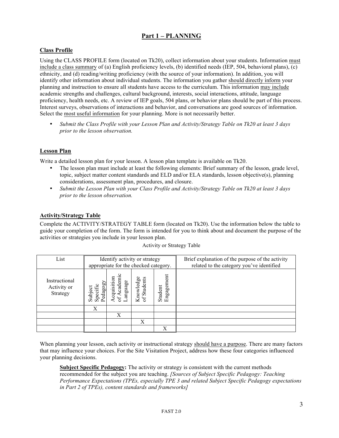#### **Part 1 – PLANNING**

#### **Class Profile**

Using the CLASS PROFILE form (located on Tk20), collect information about your students. Information must include a class summary of (a) English proficiency levels, (b) identified needs (IEP, 504, behavioral plans), (c) ethnicity, and (d) reading/writing proficiency (with the source of your information). In addition, you will identify other information about individual students. The information you gather should directly inform your planning and instruction to ensure all students have access to the curriculum. This information may include academic strengths and challenges, cultural background, interests, social interactions, attitude, language proficiency, health needs, etc. A review of IEP goals, 504 plans, or behavior plans should be part of this process. Interest surveys, observations of interactions and behavior, and conversations are good sources of information. Select the most useful information for your planning. More is not necessarily better.

• *Submit the Class Profile with your Lesson Plan and Activity/Strategy Table on Tk20 at least 3 days prior to the lesson observation.*

#### **Lesson Plan**

Write a detailed lesson plan for your lesson. A lesson plan template is available on Tk20.

- The lesson plan must include at least the following elements: Brief summary of the lesson, grade level, topic, subject matter content standards and ELD and/or ELA standards, lesson objective(s), planning considerations, assessment plan, procedures, and closure.
- *Submit the Lesson Plan with your Class Profile and Activity/Strategy Table on Tk20 at least 3 days prior to the lesson observation.*

#### **Activity/Strategy Table**

Complete the ACTIVITY/STRATEGY TABLE form (located on Tk20). Use the information below the table to guide your completion of the form. The form is intended for you to think about and document the purpose of the activities or strategies you include in your lesson plan.

| List                                     | Identify activity or strategy<br>appropriate for the checked category. |                                         |                           |                            | Brief explanation of the purpose of the activity<br>related to the category you've identified |
|------------------------------------------|------------------------------------------------------------------------|-----------------------------------------|---------------------------|----------------------------|-----------------------------------------------------------------------------------------------|
| Instructional<br>Activity or<br>Strategy | Pedagog:<br>Specific<br>Subject                                        | <b>Acquisition</b><br>Acaden<br>anguage | Students<br>Knowledg<br>J | ent<br>Engageme<br>Student |                                                                                               |
|                                          | X                                                                      |                                         |                           |                            |                                                                                               |
|                                          |                                                                        | X                                       |                           |                            |                                                                                               |
|                                          |                                                                        |                                         | X                         |                            |                                                                                               |
|                                          |                                                                        |                                         |                           |                            |                                                                                               |

Activity or Strategy Table

When planning your lesson, each activity or instructional strategy should have a purpose. There are many factors that may influence your choices. For the Site Visitation Project, address how these four categories influenced your planning decisions.

**Subject Specific Pedagogy:** The activity or strategy is consistent with the current methods recommended for the subject you are teaching. *[Sources of Subject Specific Pedagogy: Teaching Performance Expectations (TPEs, especially TPE 3 and related Subject Specific Pedagogy expectations in Part 2 of TPEs), content standards and frameworks]*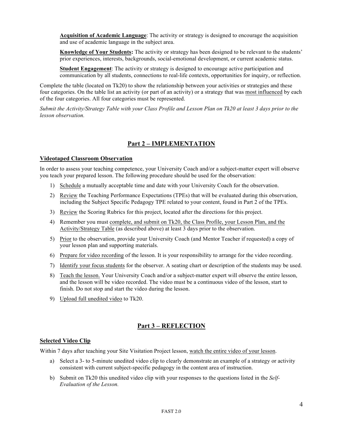**Acquisition of Academic Language**: The activity or strategy is designed to encourage the acquisition and use of academic language in the subject area.

**Knowledge of Your Students:** The activity or strategy has been designed to be relevant to the students' prior experiences, interests, backgrounds, social-emotional development, or current academic status.

**Student Engagement**: The activity or strategy is designed to encourage active participation and communication by all students, connections to real-life contexts, opportunities for inquiry, or reflection.

Complete the table (located on Tk20) to show the relationship between your activities or strategies and these four categories. On the table list an activity (or part of an activity) or a strategy that was most influenced by each of the four categories. All four categories must be represented.

*Submit the Activity/Strategy Table with your Class Profile and Lesson Plan on Tk20 at least 3 days prior to the lesson observation.*

#### **Part 2 – IMPLEMENTATION**

#### **Videotaped Classroom Observation**

In order to assess your teaching competence, your University Coach and/or a subject-matter expert will observe you teach your prepared lesson. The following procedure should be used for the observation:

- 1) Schedule a mutually acceptable time and date with your University Coach for the observation.
- 2) Review the Teaching Performance Expectations (TPEs) that will be evaluated during this observation, including the Subject Specific Pedagogy TPE related to your content, found in Part 2 of the TPEs.
- 3) Review the Scoring Rubrics for this project, located after the directions for this project.
- 4) Remember you must complete, and submit on Tk20, the Class Profile, your Lesson Plan, and the Activity/Strategy Table (as described above) at least 3 days prior to the observation.
- 5) Prior to the observation, provide your University Coach (and Mentor Teacher if requested) a copy of your lesson plan and supporting materials.
- 6) Prepare for video recording of the lesson. It is your responsibility to arrange for the video recording.
- 7) Identify your focus students for the observer. A seating chart or description of the students may be used.
- 8) Teach the lesson. Your University Coach and/or a subject-matter expert will observe the entire lesson, and the lesson will be video recorded. The video must be a continuous video of the lesson, start to finish. Do not stop and start the video during the lesson.
- 9) Upload full unedited video to Tk20.

#### **Part 3 – REFLECTION**

#### **Selected Video Clip**

Within 7 days after teaching your Site Visitation Project lesson, watch the entire video of your lesson.

- a) Select a 3- to 5-minute unedited video clip to clearly demonstrate an example of a strategy or activity consistent with current subject-specific pedagogy in the content area of instruction.
- b) Submit on Tk20 this unedited video clip with your responses to the questions listed in the *Self-Evaluation of the Lesson.*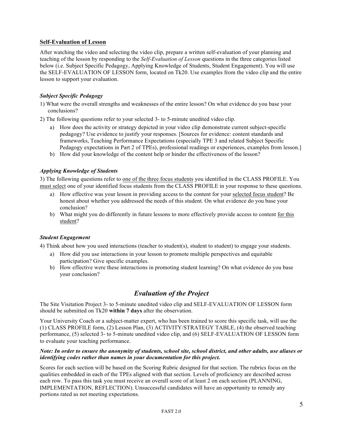#### **Self-Evaluation of Lesson**

After watching the video and selecting the video clip, prepare a written self-evaluation of your planning and teaching of the lesson by responding to the *Self-Evaluation of Lesson* questions in the three categories listed below (i.e. Subject Specific Pedagogy, Applying Knowledge of Students, Student Engagement). You will use the SELF-EVALUATION OF LESSON form, located on Tk20. Use examples from the video clip and the entire lesson to support your evaluation.

#### *Subject Specific Pedagogy*

- 1) What were the overall strengths and weaknesses of the entire lesson? On what evidence do you base your conclusions?
- 2) The following questions refer to your selected 3- to 5-minute unedited video clip.
	- a) How does the activity or strategy depicted in your video clip demonstrate current subject-specific pedagogy? Use evidence to justify your responses. [Sources for evidence: content standards and frameworks, Teaching Performance Expectations (especially TPE 3 and related Subject Specific Pedagogy expectations in Part 2 of TPEs), professional readings or experiences, examples from lesson.]
	- b) How did your knowledge of the content help or hinder the effectiveness of the lesson?

#### *Applying Knowledge of Students*

3) The following questions refer to one of the three focus students you identified in the CLASS PROFILE. You must select one of your identified focus students from the CLASS PROFILE in your response to these questions.

- a) How effective was your lesson in providing access to the content for your selected focus student? Be honest about whether you addressed the needs of this student. On what evidence do you base your conclusion?
- b) What might you do differently in future lessons to more effectively provide access to content for this student?

#### *Student Engagement*

4) Think about how you used interactions (teacher to student(s), student to student) to engage your students.

- a) How did you use interactions in your lesson to promote multiple perspectives and equitable participation? Give specific examples.
- b) How effective were these interactions in promoting student learning? On what evidence do you base your conclusion?

#### *Evaluation of the Project*

The Site Visitation Project 3- to 5-minute unedited video clip and SELF-EVALUATION OF LESSON form should be submitted on Tk20 **within 7 days** after the observation.

Your University Coach or a subject-matter expert, who has been trained to score this specific task, will use the (1) CLASS PROFILE form, (2) Lesson Plan, (3) ACTIVITY/STRATEGY TABLE, (4) the observed teaching performance, (5) selected 3- to 5-minute unedited video clip, and (6) SELF-EVALUATION OF LESSON form to evaluate your teaching performance.

#### *Note: In order to ensure the anonymity of students, school site, school district, and other adults, use aliases or identifying codes rather than names in your documentation for this project.*

Scores for each section will be based on the Scoring Rubric designed for that section. The rubrics focus on the qualities embedded in each of the TPEs aligned with that section. Levels of proficiency are described across each row. To pass this task you must receive an overall score of at least 2 on each section (PLANNING, IMPLEMENTATION, REFLECTION). Unsuccessful candidates will have an opportunity to remedy any portions rated as not meeting expectations.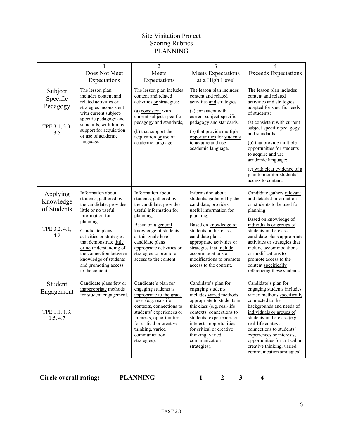#### Site Visitation Project Scoring Rubrics PLANNING

|                                                              |                                                                                                                                                                                                                                                                                                                                | $\overline{2}$                                                                                                                                                                                                                                                                         | 3                                                                                                                                                                                                                                                                                                                      | 4                                                                                                                                                                                                                                                                                                                                                                                                  |
|--------------------------------------------------------------|--------------------------------------------------------------------------------------------------------------------------------------------------------------------------------------------------------------------------------------------------------------------------------------------------------------------------------|----------------------------------------------------------------------------------------------------------------------------------------------------------------------------------------------------------------------------------------------------------------------------------------|------------------------------------------------------------------------------------------------------------------------------------------------------------------------------------------------------------------------------------------------------------------------------------------------------------------------|----------------------------------------------------------------------------------------------------------------------------------------------------------------------------------------------------------------------------------------------------------------------------------------------------------------------------------------------------------------------------------------------------|
|                                                              | Does Not Meet<br>Expectations                                                                                                                                                                                                                                                                                                  | Meets<br>Expectations                                                                                                                                                                                                                                                                  | Meets Expectations<br>at a High Level                                                                                                                                                                                                                                                                                  | <b>Exceeds Expectations</b>                                                                                                                                                                                                                                                                                                                                                                        |
| Subject<br>Specific<br>Pedagogy<br>TPE 3.1, 3.3,<br>3.5      | The lesson plan<br>includes content and<br>related activities or<br>strategies inconsistent<br>with current subject-<br>specific pedagogy and<br>standards, with limited<br>support for acquisition<br>or use of academic<br>language.                                                                                         | The lesson plan includes<br>content and related<br>activities or strategies:<br>(a) consistent with<br>current subject-specific<br>pedagogy and standards,<br>(b) that support the<br>acquisition or use of<br>academic language.                                                      | The lesson plan includes<br>content and related<br>activities and strategies:<br>(a) consistent with<br>current subject-specific<br>pedagogy and standards,<br>(b) that provide multiple<br>opportunities for students<br>to acquire and use<br>academic language.                                                     | The lesson plan includes<br>content and related<br>activities and strategies<br>adapted for specific needs<br>of students:<br>(a) consistent with current<br>subject-specific pedagogy<br>and standards,<br>(b) that provide multiple<br>opportunities for students<br>to acquire and use<br>academic language;<br>(c) with clear evidence of a<br>plan to monitor students'<br>access to content. |
| Applying<br>Knowledge<br>of Students<br>TPE 3.2, 4.1,<br>4.2 | Information about<br>students, gathered by<br>the candidate, provides<br>little or no useful<br>information for<br>planning.<br>Candidate plans<br>activities or strategies<br>that demonstrate little<br>or no understanding of<br>the connection between<br>knowledge of students<br>and promoting access<br>to the content. | Information about<br>students, gathered by<br>the candidate, provides<br>useful information for<br>planning.<br>Based on a general<br>knowledge of students<br>at this grade level,<br>candidate plans<br>appropriate activities or<br>strategies to promote<br>access to the content. | Information about<br>students, gathered by the<br>candidate, provides<br>useful information for<br>planning.<br>Based on knowledge of<br>students in this class,<br>candidate plans<br>appropriate activities or<br>strategies that include<br>accommodations or<br>modifications to promote<br>access to the content. | Candidate gathers relevant<br>and detailed information<br>on students to be used for<br>planning.<br>Based on knowledge of<br>individuals or groups of<br>students in the class,<br>candidate plans appropriate<br>activities or strategies that<br>include accommodations<br>or modifications to<br>promote access to the<br>content specifically<br>referencing these students.                  |
| Student<br>Engagement<br>TPE 1.1, 1.3,<br>1.5, 4.7           | Candidate plans few or<br>inappropriate methods<br>for student engagement.                                                                                                                                                                                                                                                     | Candidate's plan for<br>engaging students is<br>appropriate to the grade<br>level (e.g. real-life<br>contexts, connections to<br>students' experiences or<br>interests, opportunities<br>for critical or creative<br>thinking, varied<br>communication<br>strategies).                 | Candidate's plan for<br>engaging students<br>includes varied methods<br>appropriate to students in<br>this class (e.g. real-life<br>contexts, connections to<br>students' experiences or<br>interests, opportunities<br>for critical or creative<br>thinking, varied<br>communication<br>strategies).                  | Candidate's plan for<br>engaging students includes<br>varied methods specifically<br>connected to the<br>backgrounds and needs of<br>individuals or groups of<br>students in the class (e.g.<br>real-life contexts,<br>connections to students'<br>experiences or interests,<br>opportunities for critical or<br>creative thinking, varied<br>communication strategies).                           |

**Circle overall rating: PLANNING 1 2 3 4**

6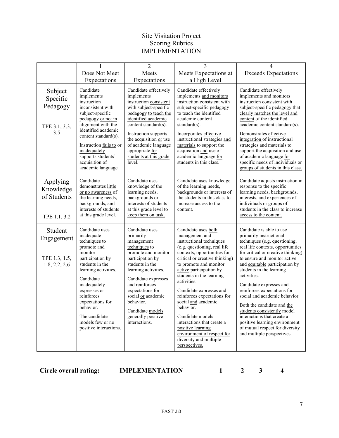#### Site Visitation Project Scoring Rubrics IMPLEMENTATION

|                                                         |                                                                                                                                                                                                                                                                                                   | $\overline{2}$                                                                                                                                                                                                                                                                                              | $\overline{3}$                                                                                                                                                                                                                                                                                                                                                                                                                                                                                                   | 4                                                                                                                                                                                                                                                                                                                                                                                                                                                                                                                                                                    |
|---------------------------------------------------------|---------------------------------------------------------------------------------------------------------------------------------------------------------------------------------------------------------------------------------------------------------------------------------------------------|-------------------------------------------------------------------------------------------------------------------------------------------------------------------------------------------------------------------------------------------------------------------------------------------------------------|------------------------------------------------------------------------------------------------------------------------------------------------------------------------------------------------------------------------------------------------------------------------------------------------------------------------------------------------------------------------------------------------------------------------------------------------------------------------------------------------------------------|----------------------------------------------------------------------------------------------------------------------------------------------------------------------------------------------------------------------------------------------------------------------------------------------------------------------------------------------------------------------------------------------------------------------------------------------------------------------------------------------------------------------------------------------------------------------|
|                                                         | Does Not Meet<br>Expectations                                                                                                                                                                                                                                                                     | Meets<br>Expectations                                                                                                                                                                                                                                                                                       | Meets Expectations at<br>a High Level                                                                                                                                                                                                                                                                                                                                                                                                                                                                            | <b>Exceeds Expectations</b>                                                                                                                                                                                                                                                                                                                                                                                                                                                                                                                                          |
| Subject<br>Specific<br>Pedagogy<br>TPE 3.1, 3.3,<br>3.5 | Candidate<br>implements<br>instruction<br>inconsistent with<br>subject-specific<br>pedagogy or not in<br>alignment with the<br>identified academic<br>content standard(s).<br>Instruction fails to or<br>inadequately<br>supports students'<br>acquisition of<br>academic language.               | Candidate effectively<br>implements<br>instruction consistent<br>with subject-specific<br>pedagogy to teach the<br>identified academic<br>content standard(s).<br>Instruction supports<br>the acquisition or use<br>of academic language<br>appropriate for<br>students at this grade<br>level.             | Candidate effectively<br>implements and monitors<br>instruction consistent with<br>subject-specific pedagogy<br>to teach the identified<br>academic content<br>standard $(s)$ .<br>Incorporates effective<br>instructional strategies and<br>materials to support the<br>acquisition and use of<br>academic language for<br>students in this class.                                                                                                                                                              | Candidate effectively<br>implements and monitors<br>instruction consistent with<br>subject-specific pedagogy that<br>clearly matches the level and<br>content of the identified<br>academic content standard(s).<br>Demonstrates effective<br>integration of instructional<br>strategies and materials to<br>support the acquisition and use<br>of academic language for<br>specific needs of individuals or<br>groups of students in this class.                                                                                                                    |
| Applying<br>Knowledge<br>of Students<br>TPE 1.1, 3.2    | Candidate<br>demonstrates little<br>or no awareness of<br>the learning needs,<br>backgrounds, and<br>interests of students<br>at this grade level.                                                                                                                                                | Candidate uses<br>knowledge of the<br>learning needs,<br>backgrounds or<br>interests of students<br>at this grade level to<br>keep them on task.                                                                                                                                                            | Candidate uses knowledge<br>of the learning needs,<br>backgrounds or interests of<br>the students in this class to<br>increase access to the<br>content.                                                                                                                                                                                                                                                                                                                                                         | Candidate adjusts instruction in<br>response to the specific<br>learning needs, backgrounds,<br>interests, and experiences of<br>individuals or groups of<br>students in the class to increase<br>access to the content.                                                                                                                                                                                                                                                                                                                                             |
| Student<br>Engagement<br>TPE 1.3, 1.5,<br>1.8, 2.2, 2.6 | Candidate uses<br>inadequate<br>techniques to<br>promote and<br>monitor<br>participation by<br>students in the<br>learning activities.<br>Candidate<br>inadequately<br>expresses or<br>reinforces<br>expectations for<br>behavior.<br>The candidate<br>models few or no<br>positive interactions. | Candidate uses<br>primarily<br>management<br>techniques to<br>promote and monitor<br>participation by<br>students in the<br>learning activities.<br>Candidate expresses<br>and reinforces<br>expectations for<br>social or academic<br>behavior.<br>Candidate models<br>generally positive<br>interactions. | Candidate uses both<br>management and<br>instructional techniques<br>(e.g. questioning, real life<br>contexts, opportunities for<br>critical or creative thinking)<br>to promote and monitor<br>active participation by<br>students in the learning<br>activities.<br>Candidate expresses and<br>reinforces expectations for<br>social and academic<br>behavior.<br>Candidate models<br>interactions that create a<br>positive learning<br>environment of respect for<br>diversity and multiple<br>perspectives. | Candidate is able to use<br>primarily instructional<br>techniques (e.g. questioning,<br>real life contexts, opportunities<br>for critical or creative thinking)<br>to ensure and monitor active<br>and equitable participation by<br>students in the learning<br>activities.<br>Candidate expresses and<br>reinforces expectations for<br>social and academic behavior.<br>Both the candidate and the<br>students consistently model<br>interactions that create a<br>positive learning environment<br>of mutual respect for diversity<br>and multiple perspectives. |

**Circle overall rating: IMPLEMENTATION 1 2 3 4**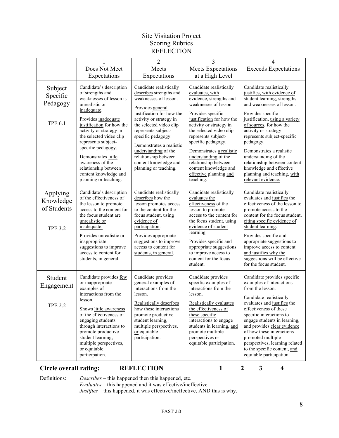#### Site Visitation Project Scoring Rubrics **REFLECTION**

|                                                        |                                                                                                                                                                                                                                                                                                                                                                                     | $\overline{2}$                                                                                                                                                                                                                                                                                                                                                | 3                                                                                                                                                                                                                                                                                                                                                                                               | 4                                                                                                                                                                                                                                                                                                                                                                                                                                            |
|--------------------------------------------------------|-------------------------------------------------------------------------------------------------------------------------------------------------------------------------------------------------------------------------------------------------------------------------------------------------------------------------------------------------------------------------------------|---------------------------------------------------------------------------------------------------------------------------------------------------------------------------------------------------------------------------------------------------------------------------------------------------------------------------------------------------------------|-------------------------------------------------------------------------------------------------------------------------------------------------------------------------------------------------------------------------------------------------------------------------------------------------------------------------------------------------------------------------------------------------|----------------------------------------------------------------------------------------------------------------------------------------------------------------------------------------------------------------------------------------------------------------------------------------------------------------------------------------------------------------------------------------------------------------------------------------------|
|                                                        | Does Not Meet<br>Expectations                                                                                                                                                                                                                                                                                                                                                       | Meets<br>Expectations                                                                                                                                                                                                                                                                                                                                         | Meets Expectations<br>at a High Level                                                                                                                                                                                                                                                                                                                                                           | <b>Exceeds Expectations</b>                                                                                                                                                                                                                                                                                                                                                                                                                  |
| Subject<br>Specific<br>Pedagogy<br><b>TPE 6.1</b>      | Candidate's description<br>of strengths and<br>weaknesses of lesson is<br>unrealistic or<br>inadequate.<br>Provides inadequate<br>justification for how the<br>activity or strategy in<br>the selected video clip<br>represents subject-<br>specific pedagogy.<br>Demonstrates little<br>awareness of the<br>relationship between<br>content knowledge and<br>planning or teaching. | Candidate realistically<br>describes strengths and<br>weaknesses of lesson.<br>Provides general<br>justification for how the<br>activity or strategy in<br>the selected video clip<br>represents subject-<br>specific pedagogy.<br>Demonstrates a realistic<br>understanding of the<br>relationship between<br>content knowledge and<br>planning or teaching. | Candidate realistically<br>evaluates, with<br>evidence, strengths and<br>weaknesses of lesson.<br>Provides specific<br>justification for how the<br>activity or strategy in<br>the selected video clip<br>represents subject-<br>specific pedagogy.<br>Demonstrates a realistic<br>understanding of the<br>relationship between<br>content knowledge and<br>effective planning and<br>teaching. | Candidate realistically<br>justifies, with evidence of<br>student learning, strengths<br>and weaknesses of lesson.<br>Provides specific<br>justification, using a variety<br>of sources, for how the<br>activity or strategy<br>represents subject-specific<br>pedagogy.<br>Demonstrates a realistic<br>understanding of the<br>relationship between content<br>knowledge and effective<br>planning and teaching, with<br>relevant evidence. |
| Applying<br>Knowledge<br>of Students<br><b>TPE 3.2</b> | Candidate's description<br>of the effectiveness of<br>the lesson to promote<br>access to the content for<br>the focus student are<br>unrealistic or<br>inadequate.<br>Provides unrealistic or<br>inappropriate<br>suggestions to improve<br>access to content for<br>students, in general.                                                                                          | Candidate realistically<br>describes how the<br>lesson promotes access<br>to the content for the<br>focus student, using<br>evidence of<br>participation.<br>Provides appropriate<br>suggestions to improve<br>access to content for<br>students, in general.                                                                                                 | Candidate realistically<br>evaluates the<br>effectiveness of the<br>lesson to promote<br>access to the content for<br>the focus student, using<br>evidence of student<br>learning.<br>Provides specific and<br>appropriate suggestions<br>to improve access to<br>content for the focus<br>student.                                                                                             | Candidate realistically<br>evaluates and justifies the<br>effectiveness of the lesson to<br>promote access to the<br>content for the focus student,<br>citing specific evidence of<br>student learning.<br>Provides specific and<br>appropriate suggestions to<br>improve access to content<br>and justifies why the<br>suggestions will be effective<br>for the focus student.                                                              |
| Student<br>Engagement<br><b>TPE 2.2</b>                | Candidate provides few<br>or inappropriate<br>examples of<br>interactions from the<br>lesson.<br>Shows little awareness<br>of the effectiveness of<br>engaging students<br>through interactions to<br>promote productive<br>student learning,<br>multiple perspectives,<br>or equitable<br>participation.                                                                           | Candidate provides<br>general examples of<br>interactions from the<br>lesson.<br>Realistically describes<br>how these interactions<br>promote productive<br>student learning,<br>multiple perspectives,<br>or equitable<br>participation.                                                                                                                     | Candidate provides<br>specific examples of<br>interactions from the<br>lesson.<br>Realistically evaluates<br>the effectiveness of<br>these specific<br>interactions to engage<br>students in learning, and<br>promote multiple<br>perspectives or<br>equitable participation.                                                                                                                   | Candidate provides specific<br>examples of interactions<br>from the lesson.<br>Candidate realistically<br>evaluates and justifies the<br>effectiveness of these<br>specific interactions to<br>engage students in learning,<br>and provides clear evidence<br>of how these interactions<br>promoted multiple<br>perspectives, learning related<br>to the specific content, and<br>equitable participation.                                   |

**Circle overall rating: REFLECTION 1 2 3 4**

Definitions: *Describes* – this happened then this happened, etc.

*Evaluates* – this happened and it was effective/ineffective.

*Justifies* – this happened, it was effective/ineffective, AND this is why.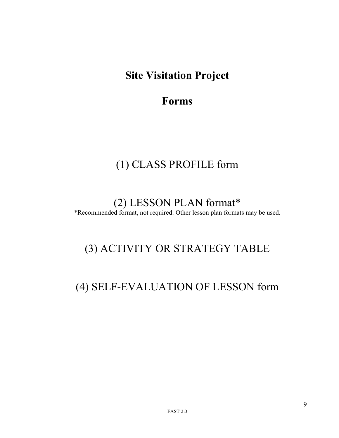## **Site Visitation Project**

## **Forms**

## (1) CLASS PROFILE form

(2) LESSON PLAN format\* \*Recommended format, not required. Other lesson plan formats may be used.

## (3) ACTIVITY OR STRATEGY TABLE

## (4) SELF-EVALUATION OF LESSON form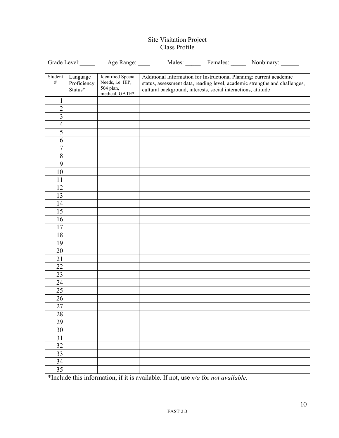#### Site Visitation Project Class Profile

|                         | Grade Level:                       | Age Range:                                                                   |                                                                                                                                      | Males: Females: Nonbinary:                                                 |
|-------------------------|------------------------------------|------------------------------------------------------------------------------|--------------------------------------------------------------------------------------------------------------------------------------|----------------------------------------------------------------------------|
| Student<br>$\#$         | Language<br>Proficiency<br>Status* | <b>Identified Special</b><br>Needs, i.e. IEP,<br>504 plan,<br>medical, GATE* | Additional Information for Instructional Planning: current academic<br>cultural background, interests, social interactions, attitude | status, assessment data, reading level, academic strengths and challenges, |
| 1                       |                                    |                                                                              |                                                                                                                                      |                                                                            |
| $\overline{2}$          |                                    |                                                                              |                                                                                                                                      |                                                                            |
| $\overline{\mathbf{3}}$ |                                    |                                                                              |                                                                                                                                      |                                                                            |
| $\overline{\mathbf{4}}$ |                                    |                                                                              |                                                                                                                                      |                                                                            |
| $\overline{5}$          |                                    |                                                                              |                                                                                                                                      |                                                                            |
| 6                       |                                    |                                                                              |                                                                                                                                      |                                                                            |
| $\overline{7}$          |                                    |                                                                              |                                                                                                                                      |                                                                            |
| $\overline{8}$          |                                    |                                                                              |                                                                                                                                      |                                                                            |
| 9                       |                                    |                                                                              |                                                                                                                                      |                                                                            |
| 10                      |                                    |                                                                              |                                                                                                                                      |                                                                            |
| 11                      |                                    |                                                                              |                                                                                                                                      |                                                                            |
| 12                      |                                    |                                                                              |                                                                                                                                      |                                                                            |
| 13                      |                                    |                                                                              |                                                                                                                                      |                                                                            |
| 14                      |                                    |                                                                              |                                                                                                                                      |                                                                            |
| 15                      |                                    |                                                                              |                                                                                                                                      |                                                                            |
| 16                      |                                    |                                                                              |                                                                                                                                      |                                                                            |
| 17                      |                                    |                                                                              |                                                                                                                                      |                                                                            |
| 18                      |                                    |                                                                              |                                                                                                                                      |                                                                            |
| 19                      |                                    |                                                                              |                                                                                                                                      |                                                                            |
| 20                      |                                    |                                                                              |                                                                                                                                      |                                                                            |
| 21                      |                                    |                                                                              |                                                                                                                                      |                                                                            |
| 22                      |                                    |                                                                              |                                                                                                                                      |                                                                            |
| 23                      |                                    |                                                                              |                                                                                                                                      |                                                                            |
| 24                      |                                    |                                                                              |                                                                                                                                      |                                                                            |
| 25                      |                                    |                                                                              |                                                                                                                                      |                                                                            |
| 26                      |                                    |                                                                              |                                                                                                                                      |                                                                            |
| 27                      |                                    |                                                                              |                                                                                                                                      |                                                                            |
| 28                      |                                    |                                                                              |                                                                                                                                      |                                                                            |
| 29                      |                                    |                                                                              |                                                                                                                                      |                                                                            |
| 30                      |                                    |                                                                              |                                                                                                                                      |                                                                            |
| 31                      |                                    |                                                                              |                                                                                                                                      |                                                                            |
| 32                      |                                    |                                                                              |                                                                                                                                      |                                                                            |
| 33                      |                                    |                                                                              |                                                                                                                                      |                                                                            |
| 34                      |                                    |                                                                              |                                                                                                                                      |                                                                            |
| $\overline{35}$         |                                    |                                                                              |                                                                                                                                      |                                                                            |

\*Include this information, if it is available. If not, use *n/a* for *not available.*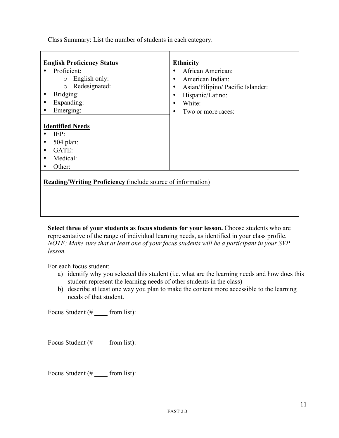Class Summary: List the number of students in each category.

| <b>English Proficiency Status</b>                                                                                       | <b>Ethnicity</b>                       |
|-------------------------------------------------------------------------------------------------------------------------|----------------------------------------|
| Proficient:                                                                                                             | African American:                      |
| $\circ$ English only:                                                                                                   | American Indian:<br>$\bullet$          |
| o Redesignated:                                                                                                         | Asian/Filipino/ Pacific Islander:<br>٠ |
| Bridging:<br>$\bullet$                                                                                                  | Hispanic/Latino:<br>$\bullet$          |
| Expanding:<br>$\bullet$                                                                                                 | White:<br>$\bullet$                    |
| Emerging:<br>$\bullet$                                                                                                  | Two or more races:<br>٠                |
| <b>Identified Needs</b><br>IEP:<br>504 plan:<br>٠<br>GATE:<br>$\bullet$<br>Medical:<br>$\bullet$<br>Other:<br>$\bullet$ |                                        |
| <b>Reading/Writing Proficiency</b> (include source of information)                                                      |                                        |

**Select three of your students as focus students for your lesson.** Choose students who are representative of the range of individual learning needs, as identified in your class profile. *NOTE: Make sure that at least one of your focus students will be a participant in your SVP lesson.*

For each focus student:

- a) identify why you selected this student (i.e. what are the learning needs and how does this student represent the learning needs of other students in the class)
- b) describe at least one way you plan to make the content more accessible to the learning needs of that student.

Focus Student  $(\# \_ \text{from list})$ :

Focus Student  $(\# \_ \text{from list})$ :

Focus Student (# \_\_\_\_ from list):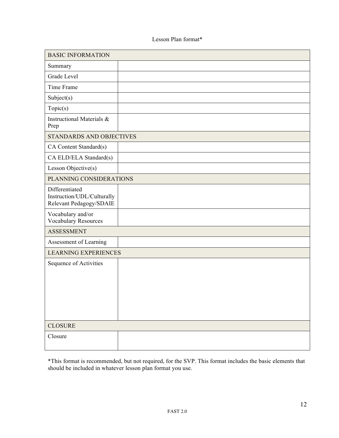#### Lesson Plan format\*

| <b>BASIC INFORMATION</b>                                                |  |
|-------------------------------------------------------------------------|--|
| Summary                                                                 |  |
| Grade Level                                                             |  |
| Time Frame                                                              |  |
| Subject(s)                                                              |  |
| Topic(s)                                                                |  |
| Instructional Materials &<br>Prep                                       |  |
| <b>STANDARDS AND OBJECTIVES</b>                                         |  |
| CA Content Standard(s)                                                  |  |
| CA ELD/ELA Standard(s)                                                  |  |
| Lesson Objective(s)                                                     |  |
| PLANNING CONSIDERATIONS                                                 |  |
| Differentiated<br>Instruction/UDL/Culturally<br>Relevant Pedagogy/SDAIE |  |
| Vocabulary and/or<br><b>Vocabulary Resources</b>                        |  |
| <b>ASSESSMENT</b>                                                       |  |
| Assessment of Learning                                                  |  |
| <b>LEARNING EXPERIENCES</b>                                             |  |
| Sequence of Activities                                                  |  |
| <b>CLOSURE</b>                                                          |  |
| Closure                                                                 |  |

\*This format is recommended, but not required, for the SVP. This format includes the basic elements that should be included in whatever lesson plan format you use.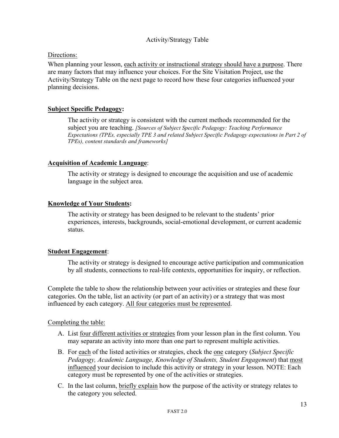#### Activity/Strategy Table

#### Directions:

When planning your lesson, each activity or instructional strategy should have a purpose. There are many factors that may influence your choices. For the Site Visitation Project, use the Activity/Strategy Table on the next page to record how these four categories influenced your planning decisions.

#### **Subject Specific Pedagogy:**

The activity or strategy is consistent with the current methods recommended for the subject you are teaching. *[Sources of Subject Specific Pedagogy: Teaching Performance Expectations (TPEs, especially TPE 3 and related Subject Specific Pedagogy expectations in Part 2 of TPEs), content standards and frameworks]*

#### **Acquisition of Academic Language**:

The activity or strategy is designed to encourage the acquisition and use of academic language in the subject area.

#### **Knowledge of Your Students:**

The activity or strategy has been designed to be relevant to the students' prior experiences, interests, backgrounds, social-emotional development, or current academic status.

#### **Student Engagement**:

The activity or strategy is designed to encourage active participation and communication by all students, connections to real-life contexts, opportunities for inquiry, or reflection.

Complete the table to show the relationship between your activities or strategies and these four categories. On the table, list an activity (or part of an activity) or a strategy that was most influenced by each category. All four categories must be represented.

#### Completing the table:

- A. List four different activities or strategies from your lesson plan in the first column. You may separate an activity into more than one part to represent multiple activities.
- B. For each of the listed activities or strategies, check the one category (*Subject Specific Pedagogy, Academic Language, Knowledge of Students, Student Engagement*) that most influenced your decision to include this activity or strategy in your lesson. NOTE: Each category must be represented by one of the activities or strategies.
- C. In the last column, briefly explain how the purpose of the activity or strategy relates to the category you selected.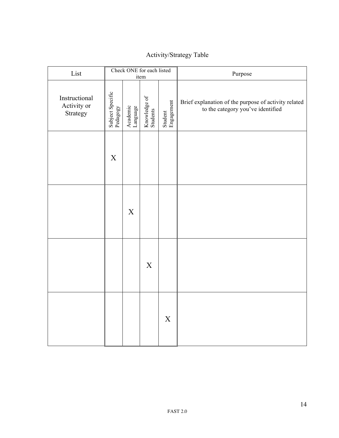## Activity/Strategy Table

| List                                     | Check ONE for each listed<br>item |                      |                          | Purpose               |                                                                                           |
|------------------------------------------|-----------------------------------|----------------------|--------------------------|-----------------------|-------------------------------------------------------------------------------------------|
| Instructional<br>Activity or<br>Strategy | Subject Specific<br>Pedagogy      | Academic<br>Language | Knowledge of<br>Students | Student<br>Engagement | Brief explanation of the purpose of activity related<br>to the category you've identified |
|                                          | $\mathbf X$                       |                      |                          |                       |                                                                                           |
|                                          |                                   | $\mathbf X$          |                          |                       |                                                                                           |
|                                          |                                   |                      | $\boldsymbol{X}$         |                       |                                                                                           |
|                                          |                                   |                      |                          | $\mathbf X$           |                                                                                           |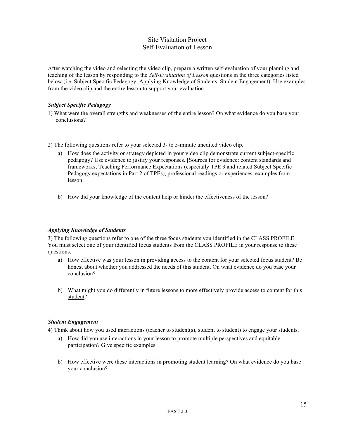#### Site Visitation Project Self-Evaluation of Lesson

After watching the video and selecting the video clip, prepare a written self-evaluation of your planning and teaching of the lesson by responding to the *Self-Evaluation of Lesson* questions in the three categories listed below (i.e. Subject Specific Pedagogy, Applying Knowledge of Students, Student Engagement). Use examples from the video clip and the entire lesson to support your evaluation.

#### *Subject Specific Pedagogy*

1) What were the overall strengths and weaknesses of the entire lesson? On what evidence do you base your conclusions?

2) The following questions refer to your selected 3- to 5-minute unedited video clip.

- a) How does the activity or strategy depicted in your video clip demonstrate current subject-specific pedagogy? Use evidence to justify your responses. [Sources for evidence: content standards and frameworks, Teaching Performance Expectations (especially TPE 3 and related Subject Specific Pedagogy expectations in Part 2 of TPEs), professional readings or experiences, examples from lesson.]
- b) How did your knowledge of the content help or hinder the effectiveness of the lesson?

#### *Applying Knowledge of Students*

3) The following questions refer to one of the three focus students you identified in the CLASS PROFILE. You must select one of your identified focus students from the CLASS PROFILE in your response to these questions.

- a) How effective was your lesson in providing access to the content for your selected focus student? Be honest about whether you addressed the needs of this student. On what evidence do you base your conclusion?
- b) What might you do differently in future lessons to more effectively provide access to content for this student?

#### *Student Engagement*

4) Think about how you used interactions (teacher to student(s), student to student) to engage your students.

- a) How did you use interactions in your lesson to promote multiple perspectives and equitable participation? Give specific examples.
- b) How effective were these interactions in promoting student learning? On what evidence do you base your conclusion?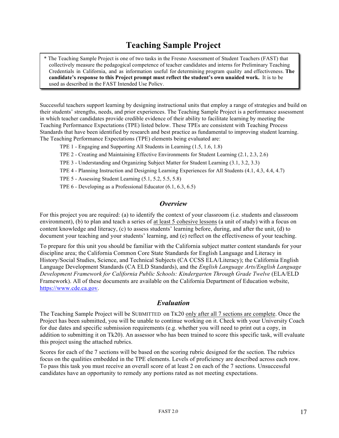## **Teaching Sample Project**

\* The Teaching Sample Project is one of two tasks in the Fresno Assessment of Student Teachers (FAST) that collectively measure the pedagogical competence of teacher candidates and interns for Preliminary Teaching Credentials in California, and as information useful for determining program quality and effectiveness. **The candidate's response to this Project prompt must reflect the student's own unaided work.** It is to be used as described in the FAST Intended Use Policy.

Successful teachers support learning by designing instructional units that employ a range of strategies and build on their students' strengths, needs, and prior experiences. The Teaching Sample Project is a performance assessment in which teacher candidates provide credible evidence of their ability to facilitate learning by meeting the Teaching Performance Expectations (TPE) listed below. These TPEs are consistent with Teaching Process Standards that have been identified by research and best practice as fundamental to improving student learning. The Teaching Performance Expectations (TPE) elements being evaluated are:

- TPE 1 Engaging and Supporting All Students in Learning (1.5, 1.6, 1.8)
- TPE 2 Creating and Maintaining Effective Environments for Student Learning (2.1, 2.3, 2.6)
- TPE 3 Understanding and Organizing Subject Matter for Student Learning (3.1, 3.2, 3.3)
- TPE 4 Planning Instruction and Designing Learning Experiences for All Students (4.1, 4.3, 4.4, 4.7)
- TPE 5 Assessing Student Learning (5.1, 5.2, 5.5, 5.8)
- TPE 6 Developing as a Professional Educator (6.1, 6.3, 6.5)

#### *Overview*

For this project you are required: (a) to identify the context of your classroom (i.e. students and classroom environment), (b) to plan and teach a series of at least 5 cohesive lessons (a unit of study) with a focus on content knowledge and literacy, (c) to assess students' learning before, during, and after the unit, (d) to document your teaching and your students' learning, and (e) reflect on the effectiveness of your teaching.

To prepare for this unit you should be familiar with the California subject matter content standards for your discipline area; the California Common Core State Standards for English Language and Literacy in History/Social Studies, Science, and Technical Subjects (CA CCSS ELA/Literacy); the California English Language Development Standards (CA ELD Standards), and the *English Language Arts/English Language Development Framework for California Public Schools: Kindergarten Through Grade Twelve* (ELA/ELD Framework). All of these documents are available on the California Department of Education website, https://www.cde.ca.gov.

#### *Evaluation*

The Teaching Sample Project will be SUBMITTED on TK20 only after all 7 sections are complete. Once the Project has been submitted, you will be unable to continue working on it. Check with your University Coach for due dates and specific submission requirements (e.g. whether you will need to print out a copy, in addition to submitting it on Tk20). An assessor who has been trained to score this specific task, will evaluate this project using the attached rubrics.

Scores for each of the 7 sections will be based on the scoring rubric designed for the section. The rubrics focus on the qualities embedded in the TPE elements. Levels of proficiency are described across each row. To pass this task you must receive an overall score of at least 2 on each of the 7 sections. Unsuccessful candidates have an opportunity to remedy any portions rated as not meeting expectations.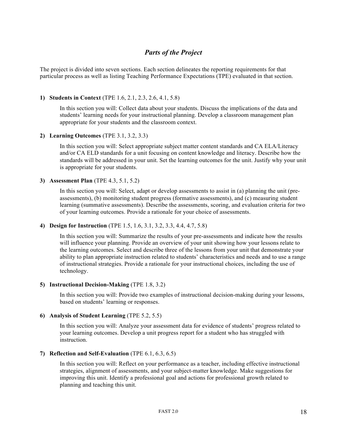### *Parts of the Project*

The project is divided into seven sections. Each section delineates the reporting requirements for that particular process as well as listing Teaching Performance Expectations (TPE) evaluated in that section.

#### **1) Students in Context** (TPE 1.6, 2.1, 2.3, 2.6, 4.1, 5.8)

In this section you will: Collect data about your students. Discuss the implications of the data and students' learning needs for your instructional planning. Develop a classroom management plan appropriate for your students and the classroom context.

#### **2) Learning Outcomes** (TPE 3.1, 3.2, 3.3)

In this section you will: Select appropriate subject matter content standards and CA ELA/Literacy and/or CA ELD standards for a unit focusing on content knowledge and literacy. Describe how the standards will be addressed in your unit. Set the learning outcomes for the unit. Justify why your unit is appropriate for your students.

#### **3) Assessment Plan** (TPE 4.3, 5.1, 5.2)

In this section you will: Select, adapt or develop assessments to assist in (a) planning the unit (preassessments), (b) monitoring student progress (formative assessments), and (c) measuring student learning (summative assessments). Describe the assessments, scoring, and evaluation criteria for two of your learning outcomes. Provide a rationale for your choice of assessments.

#### **4) Design for Instruction** (TPE 1.5, 1.6, 3.1, 3.2, 3.3, 4.4, 4.7, 5.8)

In this section you will: Summarize the results of your pre-assessments and indicate how the results will influence your planning. Provide an overview of your unit showing how your lessons relate to the learning outcomes. Select and describe three of the lessons from your unit that demonstrate your ability to plan appropriate instruction related to students' characteristics and needs and to use a range of instructional strategies. Provide a rationale for your instructional choices, including the use of technology.

#### **5) Instructional Decision-Making** (TPE 1.8, 3.2)

In this section you will: Provide two examples of instructional decision-making during your lessons, based on students' learning or responses.

#### **6) Analysis of Student Learning** (TPE 5.2, 5.5)

In this section you will: Analyze your assessment data for evidence of students' progress related to your learning outcomes. Develop a unit progress report for a student who has struggled with instruction.

#### **7) Reflection and Self-Evaluation** (TPE 6.1, 6.3, 6.5)

In this section you will: Reflect on your performance as a teacher, including effective instructional strategies, alignment of assessments, and your subject-matter knowledge. Make suggestions for improving this unit. Identify a professional goal and actions for professional growth related to planning and teaching this unit.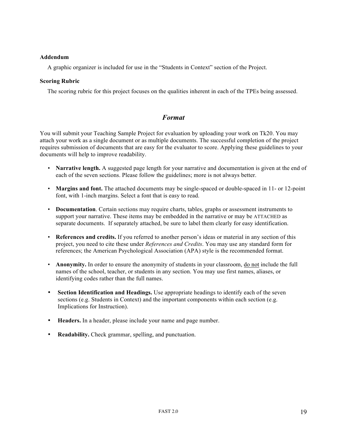#### **Addendum**

A graphic organizer is included for use in the "Students in Context" section of the Project.

#### **Scoring Rubric**

The scoring rubric for this project focuses on the qualities inherent in each of the TPEs being assessed.

#### *Format*

You will submit your Teaching Sample Project for evaluation by uploading your work on Tk20. You may attach your work as a single document or as multiple documents. The successful completion of the project requires submission of documents that are easy for the evaluator to score. Applying these guidelines to your documents will help to improve readability.

- **Narrative length.** A suggested page length for your narrative and documentation is given at the end of each of the seven sections. Please follow the guidelines; more is not always better.
- **Margins and font.** The attached documents may be single-spaced or double-spaced in 11- or 12-point font, with 1-inch margins. Select a font that is easy to read.
- **Documentation**. Certain sections may require charts, tables, graphs or assessment instruments to support your narrative. These items may be embedded in the narrative or may be ATTACHED as separate documents. If separately attached, be sure to label them clearly for easy identification.
- **References and credits.** If you referred to another person's ideas or material in any section of this project, you need to cite these under *References and Credits*. You may use any standard form for references; the American Psychological Association (APA) style is the recommended format.
- **Anonymity.** In order to ensure the anonymity of students in your classroom, do not include the full names of the school, teacher, or students in any section. You may use first names, aliases, or identifying codes rather than the full names.
- **Section Identification and Headings.** Use appropriate headings to identify each of the seven sections (e.g. Students in Context) and the important components within each section (e.g. Implications for Instruction).
- **Headers.** In a header, please include your name and page number.
- **Readability.** Check grammar, spelling, and punctuation.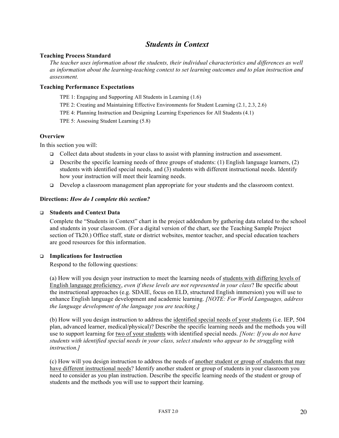### *Students in Context*

#### **Teaching Process Standard**

*The teacher uses information about the students, their individual characteristics and differences as well as information about the learning-teaching context to set learning outcomes and to plan instruction and assessment.* 

#### **Teaching Performance Expectations**

TPE 1: Engaging and Supporting All Students in Learning (1.6)

TPE 2: Creating and Maintaining Effective Environments for Student Learning (2.1, 2.3, 2.6)

TPE 4: Planning Instruction and Designing Learning Experiences for All Students (4.1)

TPE 5: Assessing Student Learning (5.8)

#### **Overview**

In this section you will:

- $\Box$  Collect data about students in your class to assist with planning instruction and assessment.
- **Describe the specific learning needs of three groups of students:** (1) English language learners, (2) students with identified special needs, and (3) students with different instructional needs. Identify how your instruction will meet their learning needs.
- $\Box$  Develop a classroom management plan appropriate for your students and the classroom context.

#### **Directions:** *How do I complete this section?*

#### q **Students and Context Data**

Complete the "Students in Context" chart in the project addendum by gathering data related to the school and students in your classroom. (For a digital version of the chart, see the Teaching Sample Project section of Tk20.) Office staff, state or district websites, mentor teacher, and special education teachers are good resources for this information.

#### q **Implications for Instruction**

Respond to the following questions:

(a) How will you design your instruction to meet the learning needs of students with differing levels of English language proficiency, *even if these levels are not represented in your class*? Be specific about the instructional approaches (e.g. SDAIE, focus on ELD, structured English immersion) you will use to enhance English language development and academic learning. *[NOTE: For World Languages, address the language development of the language you are teaching.]*

(b) How will you design instruction to address the identified special needs of your students (i.e. IEP, 504 plan, advanced learner, medical/physical)? Describe the specific learning needs and the methods you will use to support learning for two of your students with identified special needs. *[Note: If you do not have students with identified special needs in your class, select students who appear to be struggling with instruction.]*

(c) How will you design instruction to address the needs of another student or group of students that may have different instructional needs? Identify another student or group of students in your classroom you need to consider as you plan instruction. Describe the specific learning needs of the student or group of students and the methods you will use to support their learning.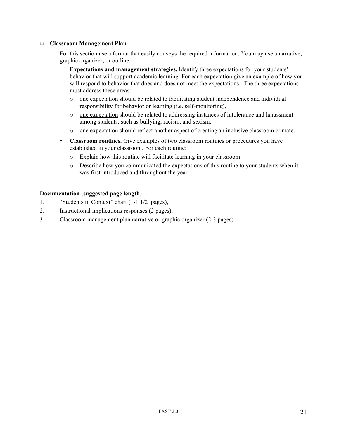#### q **Classroom Management Plan**

For this section use a format that easily conveys the required information. You may use a narrative, graphic organizer, or outline.

**Expectations and management strategies.** Identify three expectations for your students' behavior that will support academic learning. For each expectation give an example of how you will respond to behavior that does and does not meet the expectations. The three expectations must address these areas:

- o one expectation should be related to facilitating student independence and individual responsibility for behavior or learning (i.e. self-monitoring),
- o one expectation should be related to addressing instances of intolerance and harassment among students, such as bullying, racism, and sexism,
- o one expectation should reflect another aspect of creating an inclusive classroom climate.
- **Classroom routines.** Give examples of two classroom routines or procedures you have established in your classroom. For each routine:
	- o Explain how this routine will facilitate learning in your classroom.
	- o Describe how you communicated the expectations of this routine to your students when it was first introduced and throughout the year.

#### **Documentation (suggested page length)**

- 1. "Students in Context" chart (1-1 1/2 pages),
- 2. Instructional implications responses (2 pages),
- 3. Classroom management plan narrative or graphic organizer (2-3 pages)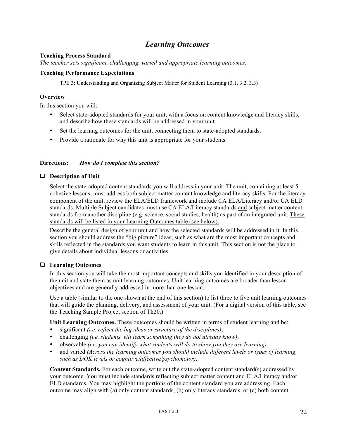### *Learning Outcomes*

#### **Teaching Process Standard**

*The teacher sets significant, challenging, varied and appropriate learning outcomes.* 

#### **Teaching Performance Expectations**

TPE 3: Understanding and Organizing Subject Matter for Student Learning (3.1, 3.2, 3.3)

#### **Overview**

In this section you will:

- Select state-adopted standards for your unit, with a focus on content knowledge and literacy skills, and describe how these standards will be addressed in your unit.
- Set the learning outcomes for the unit, connecting them to state-adopted standards.
- Provide a rationale for why this unit is appropriate for your students.

#### **Directions:** *How do I complete this section?*

#### $\Box$  Description of Unit

Select the state-adopted content standards you will address in your unit. The unit, containing at least 5 cohesive lessons, must address both subject matter content knowledge and literacy skills. For the literacy component of the unit, review the ELA/ELD framework and include CA ELA/Literacy and/or CA ELD standards. Multiple Subject candidates must use CA ELA/Literacy standards and subject matter content standards from another discipline (e.g. science, social studies, health) as part of an integrated unit. These standards will be listed in your Learning Outcomes table (see below).

Describe the general design of your unit and how the selected standards will be addressed in it. In this section you should address the "big picture" ideas, such as what are the most important concepts and skills reflected in the standards you want students to learn in this unit. This section is not the place to give details about individual lessons or activities.

#### q **Learning Outcomes**

In this section you will take the most important concepts and skills you identified in your description of the unit and state them as unit learning outcomes. Unit learning outcomes are broader than lesson objectives and are generally addressed in more than one lesson.

Use a table (similar to the one shown at the end of this section) to list three to five unit learning outcomes that will guide the planning, delivery, and assessment of your unit. (For a digital version of this table, see the Teaching Sample Project section of Tk20.)

**Unit Learning Outcomes.** These outcomes should be written in terms of student learning and be:

- significant *(i.e. reflect the big ideas or structure of the disciplines)*,
- challenging *(i.e. students will learn something they do not already know)*,
- observable *(i.e. you can identify what students will do to show you they are learning)*,
- and varied *(Across the learning outcomes you should include different levels or types of learning, such as DOK levels or cognitive/affective/psychomotor)*.

**Content Standards.** For each outcome, write out the state-adopted content standard(s) addressed by your outcome. You must include standards reflecting subject matter content and ELA/Literacy and/or ELD standards. You may highlight the portions of the content standard you are addressing. Each outcome may align with (a) only content standards, (b) only literacy standards, or (c) both content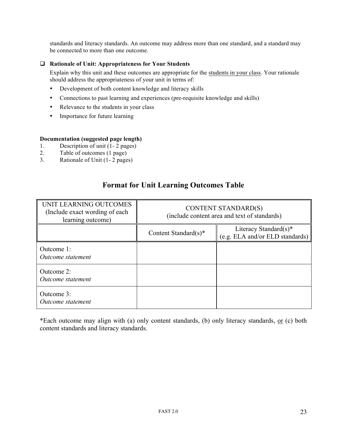standards and literacy standards. An outcome may address more than one standard, and a standard may be connected to more than one outcome.

#### q **Rationale of Unit: Appropriateness for Your Students**

Explain why this unit and these outcomes are appropriate for the students in your class. Your rationale should address the appropriateness of your unit in terms of:

- Development of both content knowledge and literacy skills
- Connections to past learning and experiences (pre-requisite knowledge and skills)
- Relevance to the students in your class
- Importance for future learning

#### **Documentation (suggested page length)**

- 1. Description of unit (1- 2 pages)
- 2. Table of outcomes (1 page)
- 3. Rationale of Unit (1- 2 pages)

| UNIT LEARNING OUTCOMES<br>(Include exact wording of each)<br>learning outcome) | <b>CONTENT STANDARD(S)</b><br>(include content area and text of standards) |                                                                          |  |
|--------------------------------------------------------------------------------|----------------------------------------------------------------------------|--------------------------------------------------------------------------|--|
|                                                                                | Content Standard $(s)^*$                                                   | Literacy Standard $(s)^*$<br>(e.g. ELA and/or ELD standards) $\parallel$ |  |
| Outcome 1:<br>Outcome statement                                                |                                                                            |                                                                          |  |
| Outcome 2:<br>Outcome statement                                                |                                                                            |                                                                          |  |
| Outcome 3:<br>Outcome statement                                                |                                                                            |                                                                          |  |

### **Format for Unit Learning Outcomes Table**

\*Each outcome may align with (a) only content standards, (b) only literacy standards, or (c) both content standards and literacy standards.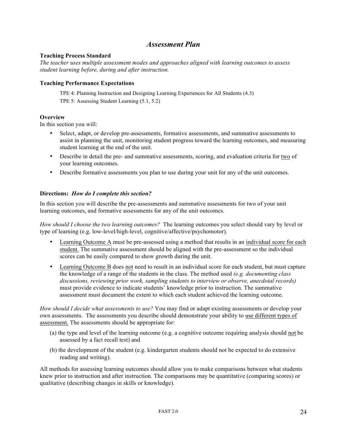#### *Assessment Plan*

#### **Teaching Process Standard**

*The teacher uses multiple assessment modes and approaches aligned with learning outcomes to assess student learning before, during and after instruction.* 

#### **Teaching Performance Expectations**

TPE 4: Planning Instruction and Designing Learning Experiences for All Students (4.3) TPE 5: Assessing Student Learning (5.1, 5.2)

#### **Overview**

In this section you will:

- Select, adapt, or develop pre-assessments, formative assessments, and summative assessments to assist in planning the unit, monitoring student progress toward the learning outcomes, and measuring student learning at the end of the unit.
- Describe in detail the pre- and summative assessments, scoring, and evaluation criteria for two of your learning outcomes.
- Describe formative assessments you plan to use during your unit for any of the unit outcomes.

#### **Directions:** *How do I complete this section?*

In this section you will describe the pre-assessments and summative assessments for two of your unit learning outcomes, and formative assessments for any of the unit outcomes.

*How should I choose the two learning outcomes?* The learning outcomes you select should vary by level or type of learning (e.g. low-level/high-level, cognitive/affective/psychomotor).

- Learning Outcome A must be pre-assessed using a method that results in an individual score for each student. The summative assessment should be aligned with the pre-assessment so the individual scores can be easily compared to show growth during the unit.
- Learning Outcome B does not need to result in an individual score for each student, but must capture the knowledge of a range of the students in the class. The method used *(e.g. documenting class discussions, reviewing prior work, sampling students to interview or observe, anecdotal records)* must provide evidence to indicate students' knowledge prior to instruction. The summative assessment must document the extent to which each student achieved the learning outcome.

*How should I decide what assessments to use?* You may find or adapt existing assessments or develop your own assessments. The assessments you describe should demonstrate your ability to use different types of assessment. The assessments should be appropriate for:

- (a) the type and level of the learning outcome (e.g. a cognitive outcome requiring analysis should not be assessed by a fact recall test) and
- (b) the development of the student (e.g. kindergarten students should not be expected to do extensive reading and writing).

All methods for assessing learning outcomes should allow you to make comparisons between what students knew prior to instruction and after instruction. The comparisons may be quantitative (comparing scores) or qualitative (describing changes in skills or knowledge).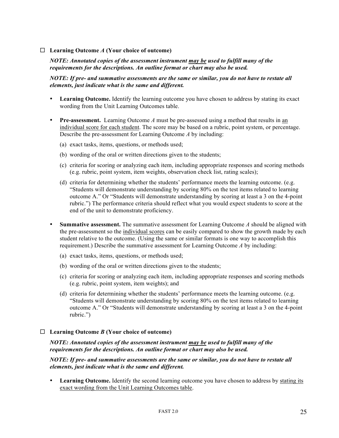#### $\Box$  **Learning Outcome** *A* (Your choice of outcome)

#### *NOTE: Annotated copies of the assessment instrument may be used to fulfill many of the requirements for the descriptions. An outline format or chart may also be used.*

#### *NOTE: If pre- and summative assessments are the same or similar, you do not have to restate all elements, just indicate what is the same and different.*

- Learning Outcome. Identify the learning outcome you have chosen to address by stating its exact wording from the Unit Learning Outcomes table.
- **Pre-assessment.** Learning Outcome *A* must be pre-assessed using a method that results in an individual score for each student. The score may be based on a rubric, point system, or percentage. Describe the pre-assessment for Learning Outcome *A* by including:
	- (a) exact tasks, items, questions, or methods used;
	- (b) wording of the oral or written directions given to the students;
	- (c) criteria for scoring or analyzing each item, including appropriate responses and scoring methods (e.g. rubric, point system, item weights, observation check list, rating scales);
	- (d) criteria for determining whether the students' performance meets the learning outcome. (e.g. "Students will demonstrate understanding by scoring 80% on the test items related to learning outcome A." Or "Students will demonstrate understanding by scoring at least a 3 on the 4-point rubric.") The performance criteria should reflect what you would expect students to score at the end of the unit to demonstrate proficiency.
- **Summative assessment.** The summative assessment for Learning Outcome *A* should be aligned with the pre-assessment so the individual scores can be easily compared to show the growth made by each student relative to the outcome. (Using the same or similar formats is one way to accomplish this requirement.) Describe the summative assessment for Learning Outcome *A* by including:
	- (a) exact tasks, items, questions, or methods used;
	- (b) wording of the oral or written directions given to the students;
	- (c) criteria for scoring or analyzing each item, including appropriate responses and scoring methods (e.g. rubric, point system, item weights); and
	- (d) criteria for determining whether the students' performance meets the learning outcome. (e.g. "Students will demonstrate understanding by scoring 80% on the test items related to learning outcome A." Or "Students will demonstrate understanding by scoring at least a 3 on the 4-point rubric.")

#### $\Box$  **Learning Outcome** *B* (Your choice of outcome)

*NOTE: Annotated copies of the assessment instrument may be used to fulfill many of the requirements for the descriptions. An outline format or chart may also be used.*

*NOTE: If pre- and summative assessments are the same or similar, you do not have to restate all elements, just indicate what is the same and different.*

• Learning Outcome. Identify the second learning outcome you have chosen to address by stating its exact wording from the Unit Learning Outcomes table.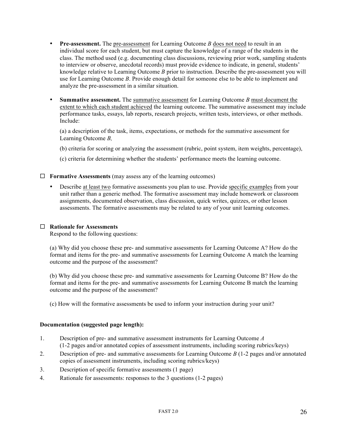- **Pre-assessment.** The pre-assessment for Learning Outcome *B* does not need to result in an individual score for each student, but must capture the knowledge of a range of the students in the class. The method used (e.g. documenting class discussions, reviewing prior work, sampling students to interview or observe, anecdotal records) must provide evidence to indicate, in general, students' knowledge relative to Learning Outcome *B* prior to instruction. Describe the pre-assessment you will use for Learning Outcome *B*. Provide enough detail for someone else to be able to implement and analyze the pre-assessment in a similar situation.
- **Summative assessment.** The summative assessment for Learning Outcome *B* must document the extent to which each student achieved the learning outcome. The summative assessment may include performance tasks, essays, lab reports, research projects, written tests, interviews, or other methods. Include:

(a) a description of the task, items, expectations, or methods for the summative assessment for Learning Outcome *B,*

(b) criteria for scoring or analyzing the assessment (rubric, point system, item weights, percentage),

(c) criteria for determining whether the students' performance meets the learning outcome.

#### $\Box$  **Formative Assessments** (may assess any of the learning outcomes)

• Describe at least two formative assessments you plan to use. Provide specific examples from your unit rather than a generic method. The formative assessment may include homework or classroom assignments, documented observation, class discussion, quick writes, quizzes, or other lesson assessments. The formative assessments may be related to any of your unit learning outcomes.

#### ¨ **Rationale for Assessments**

Respond to the following questions:

(a) Why did you choose these pre- and summative assessments for Learning Outcome A? How do the format and items for the pre- and summative assessments for Learning Outcome A match the learning outcome and the purpose of the assessment?

(b) Why did you choose these pre- and summative assessments for Learning Outcome B? How do the format and items for the pre- and summative assessments for Learning Outcome B match the learning outcome and the purpose of the assessment?

(c) How will the formative assessments be used to inform your instruction during your unit?

#### **Documentation (suggested page length):**

- 1. Description of pre- and summative assessment instruments for Learning Outcome *A* (1-2 pages and/or annotated copies of assessment instruments, including scoring rubrics/keys)
- 2. Description of pre- and summative assessments for Learning Outcome *B* (1-2 pages and/or annotated copies of assessment instruments, including scoring rubrics/keys)
- 3. Description of specific formative assessments (1 page)
- 4. Rationale for assessments: responses to the 3 questions (1-2 pages)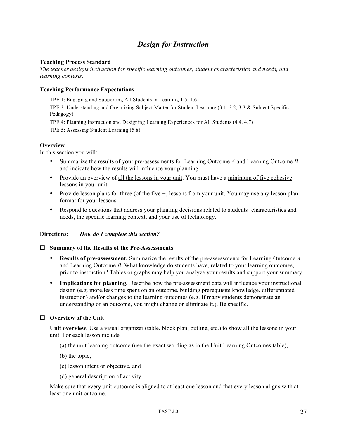## *Design for Instruction*

#### **Teaching Process Standard**

*The teacher designs instruction for specific learning outcomes, student characteristics and needs, and learning contexts.* 

#### **Teaching Performance Expectations**

TPE 1: Engaging and Supporting All Students in Learning 1.5, 1.6)

TPE 3: Understanding and Organizing Subject Matter for Student Learning (3.1, 3.2, 3.3 & Subject Specific Pedagogy)

TPE 4: Planning Instruction and Designing Learning Experiences for All Students (4.4, 4.7)

TPE 5: Assessing Student Learning (5.8)

#### **Overview**

In this section you will:

- Summarize the results of your pre-assessments for Learning Outcome *A* and Learning Outcome *B* and indicate how the results will influence your planning.
- Provide an overview of all the lessons in your unit. You must have a minimum of five cohesive lessons in your unit.
- Provide lesson plans for three (of the five +) lessons from your unit. You may use any lesson plan format for your lessons.
- Respond to questions that address your planning decisions related to students' characteristics and needs, the specific learning context, and your use of technology.

#### **Directions:** *How do I complete this section?*

#### ¨ **Summary of the Results of the Pre-Assessments**

- **Results of pre-assessment.** Summarize the results of the pre-assessments for Learning Outcome *A* and Learning Outcome *B*. What knowledge do students have, related to your learning outcomes, prior to instruction? Tables or graphs may help you analyze your results and support your summary.
- **Implications for planning.** Describe how the pre-assessment data will influence your instructional design (e.g. more/less time spent on an outcome, building prerequisite knowledge, differentiated instruction) and/or changes to the learning outcomes (e.g. If many students demonstrate an understanding of an outcome, you might change or eliminate it.). Be specific.

#### □ **Overview of the Unit**

**Unit overview.** Use a visual organizer (table, block plan, outline, etc.) to show all the lessons in your unit. For each lesson include

- (a) the unit learning outcome (use the exact wording as in the Unit Learning Outcomes table),
- (b) the topic,
- (c) lesson intent or objective, and
- (d) general description of activity.

Make sure that every unit outcome is aligned to at least one lesson and that every lesson aligns with at least one unit outcome.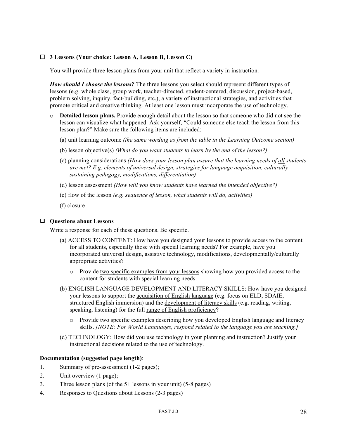#### ¨ **3 Lessons (Your choice: Lesson A, Lesson B, Lesson C)**

You will provide three lesson plans from your unit that reflect a variety in instruction.

*How should I choose the lessons?* The three lessons you select should represent different types of lessons (e.g. whole class, group work, teacher-directed, student-centered, discussion, project-based, problem solving, inquiry, fact-building, etc.), a variety of instructional strategies, and activities that promote critical and creative thinking. At least one lesson must incorporate the use of technology.

- o **Detailed lesson plans.** Provide enough detail about the lesson so that someone who did not see the lesson can visualize what happened. Ask yourself, "Could someone else teach the lesson from this lesson plan?" Make sure the following items are included:
	- (a) unit learning outcome *(the same wording as from the table in the Learning Outcome section)*
	- (b) lesson objective(s) *(What do you want students to learn by the end of the lesson?)*
	- (c) planning considerations *(How does your lesson plan assure that the learning needs of all students are met? E.g. elements of universal design, strategies for language acquisition, culturally sustaining pedagogy, modifications, differentiation)*
	- (d) lesson assessment *(How will you know students have learned the intended objective?)*
	- (e) flow of the lesson *(e.g. sequence of lesson, what students will do, activities)*
	- (f) closure

#### $\Box$  Questions about Lessons

Write a response for each of these questions. Be specific.

- (a) ACCESS TO CONTENT: How have you designed your lessons to provide access to the content for all students, especially those with special learning needs? For example, have you incorporated universal design, assistive technology, modifications, developmentally/culturally appropriate activities?
	- o Provide two specific examples from your lessons showing how you provided access to the content for students with special learning needs.
- (b) ENGLISH LANGUAGE DEVELOPMENT AND LITERACY SKILLS: How have you designed your lessons to support the acquisition of English language (e.g. focus on ELD, SDAIE, structured English immersion) and the development of literacy skills (e.g. reading, writing, speaking, listening) for the full range of English proficiency?
	- o Provide two specific examples describing how you developed English language and literacy skills. *[NOTE: For World Languages, respond related to the language you are teaching.]*
- (d) TECHNOLOGY: How did you use technology in your planning and instruction? Justify your instructional decisions related to the use of technology.

#### **Documentation (suggested page length)**:

- 1. Summary of pre-assessment (1-2 pages);
- 2. Unit overview (1 page);
- 3. Three lesson plans (of the 5+ lessons in your unit) (5-8 pages)
- 4. Responses to Questions about Lessons (2-3 pages)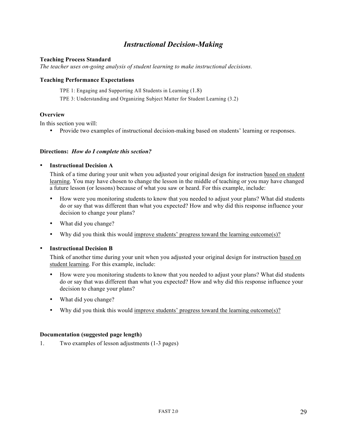## *Instructional Decision-Making*

#### **Teaching Process Standard**

*The teacher uses on-going analysis of student learning to make instructional decisions.* 

#### **Teaching Performance Expectations**

TPE 1: Engaging and Supporting All Students in Learning (1.8)

TPE 3: Understanding and Organizing Subject Matter for Student Learning (3.2)

#### **Overview**

In this section you will:

• Provide two examples of instructional decision-making based on students' learning or responses.

#### **Directions:** *How do I complete this section?*

#### • **Instructional Decision A**

Think of a time during your unit when you adjusted your original design for instruction based on student learning. You may have chosen to change the lesson in the middle of teaching or you may have changed a future lesson (or lessons) because of what you saw or heard. For this example, include:

- How were you monitoring students to know that you needed to adjust your plans? What did students do or say that was different than what you expected? How and why did this response influence your decision to change your plans?
- What did you change?
- Why did you think this would improve students' progress toward the learning outcome(s)?

#### • **Instructional Decision B**

Think of another time during your unit when you adjusted your original design for instruction based on student learning. For this example, include:

- How were you monitoring students to know that you needed to adjust your plans? What did students do or say that was different than what you expected? How and why did this response influence your decision to change your plans?
- What did you change?
- Why did you think this would improve students' progress toward the learning outcome(s)?

#### **Documentation (suggested page length)**

1. Two examples of lesson adjustments (1-3 pages)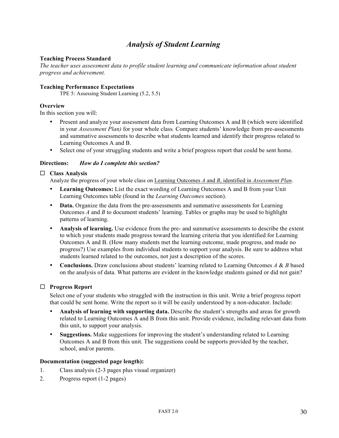## *Analysis of Student Learning*

#### **Teaching Process Standard**

*The teacher uses assessment data to profile student learning and communicate information about student progress and achievement.* 

#### **Teaching Performance Expectations**

TPE 5: Assessing Student Learning (5.2, 5.5)

#### **Overview**

In this section you will:

- Present and analyze your assessment data from Learning Outcomes A and B (which were identified in your *Assessment Plan)* for your whole class*.* Compare students' knowledge from pre-assessments and summative assessments to describe what students learned and identify their progress related to Learning Outcomes A and B.
- Select one of your struggling students and write a brief progress report that could be sent home.

#### **Directions:** *How do I complete this section?*

#### ¨ **Class Analysis**

Analyze the progress of your whole class on Learning Outcomes *A* and *B*, identified in *Assessment Plan*.

- **Learning Outcomes:** List the exact wording of Learning Outcomes A and B from your Unit Learning Outcomes table (found in the *Learning Outcomes* section).
- **Data.** Organize the data from the pre-assessments and summative assessments for Learning Outcomes *A* and *B* to document students' learning. Tables or graphs may be used to highlight patterns of learning.
- **Analysis of learning.** Use evidence from the pre- and summative assessments to describe the extent to which your students made progress toward the learning criteria that you identified for Learning Outcomes A and B. (How many students met the learning outcome, made progress, and made no progress?) Use examples from individual students to support your analysis. Be sure to address what students learned related to the outcomes, not just a description of the scores.
- **Conclusions.** Draw conclusions about students' learning related to Learning Outcomes *A* & *B* based on the analysis of data. What patterns are evident in the knowledge students gained or did not gain?

#### □ **Progress Report**

Select one of your students who struggled with the instruction in this unit. Write a brief progress report that could be sent home. Write the report so it will be easily understood by a non-educator. Include:

- **Analysis of learning with supporting data.** Describe the student's strengths and areas for growth related to Learning Outcomes A and B from this unit. Provide evidence, including relevant data from this unit, to support your analysis.
- **Suggestions.** Make suggestions for improving the student's understanding related to Learning Outcomes A and B from this unit. The suggestions could be supports provided by the teacher, school, and/or parents.

#### **Documentation (suggested page length):**

- 1. Class analysis (2-3 pages plus visual organizer)
- 2. Progress report (1-2 pages)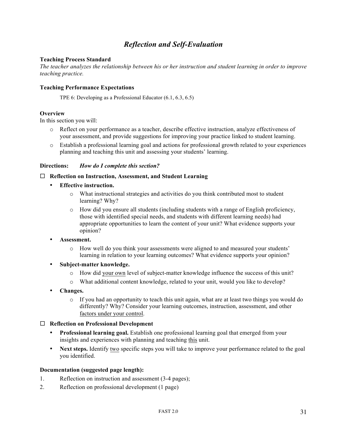## *Reflection and Self-Evaluation*

#### **Teaching Process Standard**

*The teacher analyzes the relationship between his or her instruction and student learning in order to improve teaching practice.* 

#### **Teaching Performance Expectations**

TPE 6: Developing as a Professional Educator (6.1, 6.3, 6.5)

#### **Overview**

In this section you will:

- o Reflect on your performance as a teacher, describe effective instruction, analyze effectiveness of your assessment, and provide suggestions for improving your practice linked to student learning.
- o Establish a professional learning goal and actions for professional growth related to your experiences planning and teaching this unit and assessing your students' learning.

#### **Directions:** *How do I complete this section?*

#### □ **Reflection on Instruction, Assessment, and Student Learning**

- **Effective instruction.** 
	- o What instructional strategies and activities do you think contributed most to student learning? Why?
	- o How did you ensure all students (including students with a range of English proficiency, those with identified special needs, and students with different learning needs) had appropriate opportunities to learn the content of your unit? What evidence supports your opinion?
- **Assessment.**
	- o How well do you think your assessments were aligned to and measured your students' learning in relation to your learning outcomes? What evidence supports your opinion?
- **Subject-matter knowledge.** 
	- o How did your own level of subject-matter knowledge influence the success of this unit?
	- o What additional content knowledge, related to your unit, would you like to develop?
- **Changes.** 
	- $\circ$  If you had an opportunity to teach this unit again, what are at least two things you would do differently? Why? Consider your learning outcomes, instruction, assessment, and other factors under your control.

#### ¨ **Reflection on Professional Development**

- **Professional learning goal.** Establish one professional learning goal that emerged from your insights and experiences with planning and teaching this unit.
- Next steps. Identify two specific steps you will take to improve your performance related to the goal you identified.

#### **Documentation (suggested page length):**

- 1. Reflection on instruction and assessment (3-4 pages);
- 2. Reflection on professional development (1 page)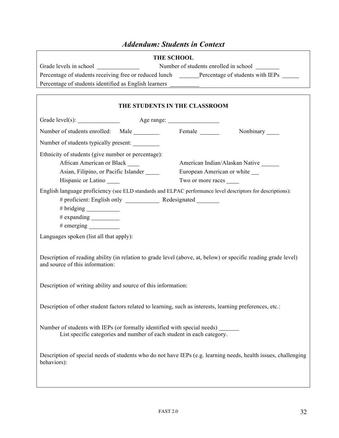## *Addendum: Students in Context*

| <b>THE SCHOOL</b>                                     |                                                        |                                       |  |  |  |
|-------------------------------------------------------|--------------------------------------------------------|---------------------------------------|--|--|--|
| Grade levels in school                                |                                                        | Number of students enrolled in school |  |  |  |
|                                                       | Percentage of students receiving free or reduced lunch | Percentage of students with IEPs      |  |  |  |
| Percentage of students identified as English learners |                                                        |                                       |  |  |  |
|                                                       |                                                        |                                       |  |  |  |

 $\lceil$ 

|                                                                                                                                                     |  | THE STUDENTS IN THE CLASSROOM                                         |                                                                                                                |  |  |
|-----------------------------------------------------------------------------------------------------------------------------------------------------|--|-----------------------------------------------------------------------|----------------------------------------------------------------------------------------------------------------|--|--|
|                                                                                                                                                     |  |                                                                       |                                                                                                                |  |  |
| Number of students enrolled: Male                                                                                                                   |  |                                                                       | Nonbinary ______                                                                                               |  |  |
| Number of students typically present:                                                                                                               |  |                                                                       |                                                                                                                |  |  |
| Ethnicity of students (give number or percentage):<br>African American or Black<br>Asian, Filipino, or Pacific Islander<br>Hispanic or Latino       |  | European American or white<br>Two or more races                       | American Indian/Alaskan Native                                                                                 |  |  |
| English language proficiency (see ELD standards and ELPAC performance level descriptors for descriptions):<br>$#$ emerging $\_\_\_\_\_\_\_\_\_\_\_$ |  |                                                                       |                                                                                                                |  |  |
| Languages spoken (list all that apply):                                                                                                             |  |                                                                       |                                                                                                                |  |  |
| and source of this information:                                                                                                                     |  |                                                                       | Description of reading ability (in relation to grade level (above, at, below) or specific reading grade level) |  |  |
| Description of writing ability and source of this information:                                                                                      |  |                                                                       |                                                                                                                |  |  |
| Description of other student factors related to learning, such as interests, learning preferences, etc.:                                            |  |                                                                       |                                                                                                                |  |  |
| Number of students with IEPs (or formally identified with special needs)                                                                            |  | List specific categories and number of each student in each category. |                                                                                                                |  |  |
| behaviors):                                                                                                                                         |  |                                                                       | Description of special needs of students who do not have IEPs (e.g. learning needs, health issues, challenging |  |  |
|                                                                                                                                                     |  |                                                                       |                                                                                                                |  |  |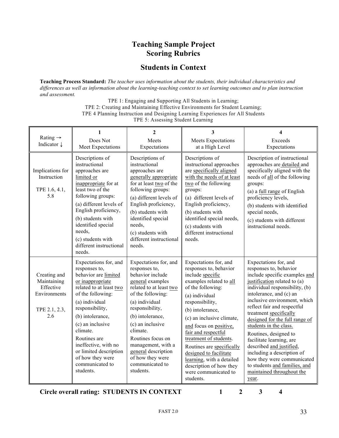## **Teaching Sample Project Scoring Rubrics**

## **Students in Context**

**Teaching Process Standard:** *The teacher uses information about the students, their individual characteristics and differences as well as information about the learning-teaching context to set learning outcomes and to plan instruction and assessment.*

> TPE 1: Engaging and Supporting All Students in Learning; TPE 2: Creating and Maintaining Effective Environments for Student Learning; TPE 4 Planning Instruction and Designing Learning Experiences for All Students TPE 5: Assessing Student Learning

| Rating $\rightarrow$<br>Indicator ↓                                              | 1<br>Does Not<br>Meet Expectations                                                                                                                                                                                                                                                                                                                | $\overline{2}$<br>Meets<br>Expectations                                                                                                                                                                                                                                                                                                       | 3<br><b>Meets Expectations</b><br>at a High Level                                                                                                                                                                                                                                                                                                                                                                                        | 4<br>Exceeds<br>Expectations                                                                                                                                                                                                                                                                                                                                                                                                                                                                                                                           |
|----------------------------------------------------------------------------------|---------------------------------------------------------------------------------------------------------------------------------------------------------------------------------------------------------------------------------------------------------------------------------------------------------------------------------------------------|-----------------------------------------------------------------------------------------------------------------------------------------------------------------------------------------------------------------------------------------------------------------------------------------------------------------------------------------------|------------------------------------------------------------------------------------------------------------------------------------------------------------------------------------------------------------------------------------------------------------------------------------------------------------------------------------------------------------------------------------------------------------------------------------------|--------------------------------------------------------------------------------------------------------------------------------------------------------------------------------------------------------------------------------------------------------------------------------------------------------------------------------------------------------------------------------------------------------------------------------------------------------------------------------------------------------------------------------------------------------|
| Implications for<br>Instruction<br>TPE 1.6, 4.1,<br>5.8                          | Descriptions of<br>instructional<br>approaches are<br>limited or<br>inappropriate for at<br>least two of the<br>following groups:<br>(a) different levels of<br>English proficiency,<br>(b) students with<br>identified special<br>needs,<br>(c) students with<br>different instructional<br>needs.                                               | Descriptions of<br>instructional<br>approaches are<br>generally appropriate<br>for at least two of the<br>following groups:<br>(a) different levels of<br>English proficiency,<br>(b) students with<br>identified special<br>needs,<br>(c) students with<br>different instructional<br>needs.                                                 | Descriptions of<br>instructional approaches<br>are specifically aligned<br>with the needs of at least<br>two of the following<br>groups:<br>(a) different levels of<br>English proficiency,<br>(b) students with<br>identified special needs,<br>(c) students with<br>different instructional<br>needs.                                                                                                                                  | Description of instructional<br>approaches are detailed and<br>specifically aligned with the<br>needs of all of the following<br>groups:<br>(a) a full range of English<br>proficiency levels,<br>(b) students with identified<br>special needs,<br>(c) students with different<br>instructional needs.                                                                                                                                                                                                                                                |
| Creating and<br>Maintaining<br>Effective<br>Environments<br>TPE 2.1, 2.3,<br>2.6 | Expectations for, and<br>responses to,<br>behavior are limited<br>or inappropriate<br>related to at least two<br>of the following:<br>(a) individual<br>responsibility,<br>(b) intolerance,<br>(c) an inclusive<br>climate.<br>Routines are<br>ineffective, with no<br>or limited description<br>of how they were<br>communicated to<br>students. | Expectations for, and<br>responses to,<br>behavior include<br>general examples<br>related to at least two<br>of the following:<br>(a) individual<br>responsibility,<br>(b) intolerance,<br>(c) an inclusive<br>climate.<br>Routines focus on<br>management, with a<br>general description<br>of how they were<br>communicated to<br>students. | Expectations for, and<br>responses to, behavior<br>include specific<br>examples related to all<br>of the following:<br>(a) individual<br>responsibility,<br>(b) intolerance,<br>(c) an inclusive climate,<br>and focus on positive,<br>fair and respectful<br>treatment of students.<br>Routines are specifically<br>designed to facilitate<br>learning, with a detailed<br>description of how they<br>were communicated to<br>students. | Expectations for, and<br>responses to, behavior<br>include specific examples and<br>justification related to (a)<br>individual responsibility, (b)<br>intolerance, and (c) an<br>inclusive environment, which<br>reflect fair and respectful<br>treatment specifically<br>designed for the full range of<br>students in the class.<br>Routines, designed to<br>facilitate learning, are<br>described and justified,<br>including a description of<br>how they were communicated<br>to students and families, and<br>maintained throughout the<br>year. |

**Circle overall rating: STUDENTS IN CONTEXT 1 2 3 4**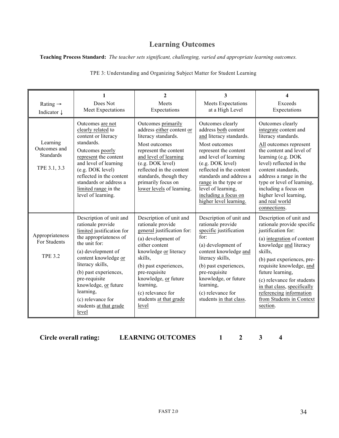## **Learning Outcomes**

**Teaching Process Standard:** *The teacher sets significant, challenging, varied and appropriate learning outcomes.*

| Rating $\rightarrow$<br>Indicator $\downarrow$               | 1<br>Does Not<br>Meet Expectations                                                                                                                                                                                                                                                                                            | $\mathbf{2}$<br>Meets<br>Expectations                                                                                                                                                                                                                                                         | 3<br><b>Meets Expectations</b><br>at a High Level                                                                                                                                                                                                                                                                 | 4<br>Exceeds<br>Expectations                                                                                                                                                                                                                                                                                                                                 |
|--------------------------------------------------------------|-------------------------------------------------------------------------------------------------------------------------------------------------------------------------------------------------------------------------------------------------------------------------------------------------------------------------------|-----------------------------------------------------------------------------------------------------------------------------------------------------------------------------------------------------------------------------------------------------------------------------------------------|-------------------------------------------------------------------------------------------------------------------------------------------------------------------------------------------------------------------------------------------------------------------------------------------------------------------|--------------------------------------------------------------------------------------------------------------------------------------------------------------------------------------------------------------------------------------------------------------------------------------------------------------------------------------------------------------|
| Learning<br>Outcomes and<br><b>Standards</b><br>TPE 3.1, 3.3 | Outcomes are not<br>clearly related to<br>content or literacy<br>standards.<br>Outcomes poorly<br>represent the content<br>and level of learning<br>(e.g. DOK level)<br>reflected in the content<br>standards or address a<br>limited range in the<br>level of learning.                                                      | Outcomes primarily<br>address either content or<br>literacy standards.<br>Most outcomes<br>represent the content<br>and level of learning<br>(e.g. DOK level)<br>reflected in the content<br>standards, though they<br>primarily focus on<br>lower levels of learning.                        | Outcomes clearly<br>address both content<br>and literacy standards.<br>Most outcomes<br>represent the content<br>and level of learning<br>(e.g. DOK level)<br>reflected in the content<br>standards and address a<br>range in the type or<br>level of learning,<br>including a focus on<br>higher level learning. | Outcomes clearly<br>integrate content and<br>literacy standards.<br>All outcomes represent<br>the content and level of<br>learning (e.g. DOK<br>level) reflected in the<br>content standards,<br>address a range in the<br>type or level of learning,<br>including a focus on<br>higher level learning,<br>and real world<br>connections.                    |
| Appropriateness<br>For Students<br><b>TPE 3.2</b>            | Description of unit and<br>rationale provide<br>limited justification for<br>the appropriateness of<br>the unit for:<br>(a) development of<br>content knowledge or<br>literacy skills,<br>(b) past experiences,<br>pre-requisite<br>knowledge, or future<br>learning,<br>(c) relevance for<br>students at that grade<br>level | Description of unit and<br>rationale provide<br>general justification for:<br>(a) development of<br>either content<br>knowledge or literacy<br>skills,<br>(b) past experiences,<br>pre-requisite<br>knowledge, or future<br>learning,<br>(c) relevance for<br>students at that grade<br>level | Description of unit and<br>rationale provide<br>specific justification<br>for:<br>(a) development of<br>content knowledge and<br>literacy skills,<br>(b) past experiences,<br>pre-requisite<br>knowledge, or future<br>learning,<br>(c) relevance for<br>students in that class.                                  | Description of unit and<br>rationale provide specific<br>justification for:<br>(a) integration of content<br>knowledge and literacy<br>skills.<br>(b) past experiences, pre-<br>requisite knowledge, and<br>future learning,<br>(c) relevance for students<br>in that class, specifically<br>referencing information<br>from Students in Context<br>section. |

TPE 3: Understanding and Organizing Subject Matter for Student Learning

**Circle overall rating: LEARNING OUTCOMES 1 2 3 4**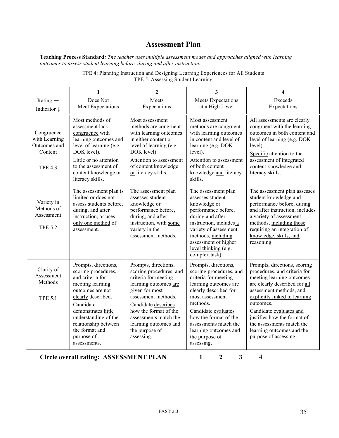## **Assessment Plan**

**Teaching Process Standard***: The teacher uses multiple assessment modes and approaches aligned with learning outcomes to assess student learning before, during and after instruction.*

|                                                                          | 1                                                                                                                                                                                                                                                                 | $\overline{2}$                                                                                                                                                                                                                                                              | 3                                                                                                                                                                                                                                                                                          | $\overline{\mathbf{4}}$                                                                                                                                                                                                                                                                                                                          |
|--------------------------------------------------------------------------|-------------------------------------------------------------------------------------------------------------------------------------------------------------------------------------------------------------------------------------------------------------------|-----------------------------------------------------------------------------------------------------------------------------------------------------------------------------------------------------------------------------------------------------------------------------|--------------------------------------------------------------------------------------------------------------------------------------------------------------------------------------------------------------------------------------------------------------------------------------------|--------------------------------------------------------------------------------------------------------------------------------------------------------------------------------------------------------------------------------------------------------------------------------------------------------------------------------------------------|
| Rating $\rightarrow$<br>Indicator $\downarrow$                           | Does Not<br>Meet Expectations                                                                                                                                                                                                                                     | Meets<br>Expectations                                                                                                                                                                                                                                                       | <b>Meets Expectations</b><br>at a High Level                                                                                                                                                                                                                                               | Exceeds<br>Expectations                                                                                                                                                                                                                                                                                                                          |
| Congruence<br>with Learning<br>Outcomes and<br>Content<br><b>TPE 4.3</b> | Most methods of<br>assessment lack<br>congruence with<br>learning outcomes and<br>level of learning (e.g.<br>DOK level).<br>Little or no attention<br>to the assessment of<br>content knowledge or<br>literacy skills.                                            | Most assessment<br>methods are congruent<br>with learning outcomes<br>in either content or<br>level of learning (e.g.<br>DOK level).<br>Attention to assessment<br>of content knowledge<br>or literacy skills.                                                              | Most assessment<br>methods are congruent<br>with learning outcomes<br>in content and level of<br>learning (e.g. DOK<br>level).<br>Attention to assessment<br>of both content<br>knowledge and literacy<br>skills.                                                                          | All assessments are clearly<br>congruent with the learning<br>outcomes in both content and<br>level of learning (e.g. DOK<br>level).<br>Specific attention to the<br>assessment of integrated<br>content knowledge and<br>literacy skills.                                                                                                       |
| Variety in<br>Methods of<br>Assessment<br><b>TPE 5.2</b>                 | The assessment plan is<br>limited or does not<br>assess students before,<br>during, and after<br>instruction, or uses<br>only one method of<br>assessment.                                                                                                        | The assessment plan<br>assesses student<br>knowledge or<br>performance before,<br>during, and after<br>instruction, with some<br>variety in the<br>assessment methods.                                                                                                      | The assessment plan<br>assesses student<br>knowledge or<br>performance before,<br>during and after<br>instruction, includes a<br>variety of assessment<br>methods, including<br>assessment of higher<br>level thinking (e.g.<br>complex task).                                             | The assessment plan assesses<br>student knowledge and<br>performance before, during<br>and after instruction, includes<br>a variety of assessment<br>methods, including those<br>requiring an integration of<br>knowledge, skills, and<br>reasoning.                                                                                             |
| Clarity of<br>Assessment<br>Methods<br><b>TPE 5.1</b>                    | Prompts, directions,<br>scoring procedures,<br>and criteria for<br>meeting learning<br>outcomes are not<br>clearly described.<br>Candidate<br>demonstrates little<br>understanding of the<br>relationship between<br>the format and<br>purpose of<br>assessments. | Prompts, directions,<br>scoring procedures, and<br>criteria for meeting<br>learning outcomes are<br>given for most<br>assessment methods.<br>Candidate describes<br>how the format of the<br>assessments match the<br>learning outcomes and<br>the purpose of<br>assessing. | Prompts, directions,<br>scoring procedures, and<br>criteria for meeting<br>learning outcomes are<br>clearly described for<br>most assessment<br>methods.<br>Candidate evaluates<br>how the format of the<br>assessments match the<br>learning outcomes and<br>the purpose of<br>assessing. | Prompts, directions, scoring<br>procedures, and criteria for<br>meeting learning outcomes<br>are clearly described for all<br>assessment methods, and<br>explicitly linked to learning<br>outcomes.<br>Candidate evaluates and<br>justifies how the format of<br>the assessments match the<br>learning outcomes and the<br>purpose of assessing. |

TPE 4: Planning Instruction and Designing Learning Experiences for All Students TPE 5: Assessing Student Learning

**Circle overall rating: ASSESSMENT PLAN 1 2 3 4**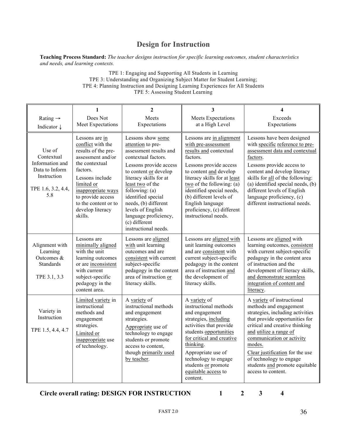## **Design for Instruction**

**Teaching Process Standard:** *The teacher designs instruction for specific learning outcomes, student characteristics and needs, and learning contexts.*

> TPE 1: Engaging and Supporting All Students in Learning TPE 3: Understanding and Organizing Subject Matter for Student Learning; TPE 4: Planning Instruction and Designing Learning Experiences for All Students TPE 5: Assessing Student Learning

| Rating $\rightarrow$<br>Indicator $\downarrow$                                                        | $\mathbf{1}$<br>Does Not<br>Meet Expectations                                                                                                                                                                                                    | $\mathbf{2}$<br>Meets<br>Expectations                                                                                                                                                                                                                                                                                                             | 3<br>Meets Expectations<br>at a High Level                                                                                                                                                                                                                                                                                               | $\overline{\mathbf{4}}$<br>Exceeds<br>Expectations                                                                                                                                                                                                                                                                                                  |
|-------------------------------------------------------------------------------------------------------|--------------------------------------------------------------------------------------------------------------------------------------------------------------------------------------------------------------------------------------------------|---------------------------------------------------------------------------------------------------------------------------------------------------------------------------------------------------------------------------------------------------------------------------------------------------------------------------------------------------|------------------------------------------------------------------------------------------------------------------------------------------------------------------------------------------------------------------------------------------------------------------------------------------------------------------------------------------|-----------------------------------------------------------------------------------------------------------------------------------------------------------------------------------------------------------------------------------------------------------------------------------------------------------------------------------------------------|
| Use of<br>Contextual<br>Information and<br>Data to Inform<br>Instruction<br>TPE 1.6, 3.2, 4.4,<br>5.8 | Lessons are in<br>conflict with the<br>results of the pre-<br>assessment and/or<br>the contextual<br>factors.<br>Lessons include<br>limited or<br>inappropriate ways<br>to provide access<br>to the content or to<br>develop literacy<br>skills. | Lessons show some<br>attention to pre-<br>assessment results and<br>contextual factors.<br>Lessons provide access<br>to content or develop<br>literacy skills for at<br>least two of the<br>following: $(a)$<br>identified special<br>needs, (b) different<br>levels of English<br>language proficiency,<br>(c) different<br>instructional needs. | Lessons are in alignment<br>with pre-assessment<br>results and contextual<br>factors.<br>Lessons provide access<br>to content and develop<br>literacy skills for at least<br>two of the following: (a)<br>identified special needs,<br>(b) different levels of<br>English language<br>proficiency, (c) different<br>instructional needs. | Lessons have been designed<br>with specific reference to pre-<br>assessment data and contextual<br>factors.<br>Lessons provide access to<br>content and develop literacy<br>skills for all of the following:<br>(a) identified special needs, (b)<br>different levels of English<br>language proficiency, (c)<br>different instructional needs.     |
| Alignment with<br>Learning<br>Outcomes &<br><b>Standards</b><br>TPE 3.1, 3.3                          | Lessons are<br>minimally aligned<br>with the unit<br>learning outcomes<br>or are inconsistent<br>with current<br>subject-specific<br>pedagogy in the<br>content area.                                                                            | Lessons are aligned<br>with unit learning<br>outcomes and are<br>consistent with current<br>subject-specific<br>pedagogy in the content<br>area of instruction or<br>literacy skills.                                                                                                                                                             | Lessons are aligned with<br>unit learning outcomes<br>and are consistent with<br>current subject-specific<br>pedagogy in the content<br>area of instruction and<br>the development of<br>literacy skills.                                                                                                                                | Lessons are aligned with<br>learning outcomes, consistent<br>with current subject-specific<br>pedagogy in the content area<br>of instruction and the<br>development of literacy skills,<br>and demonstrate seamless<br>integration of content and<br>literacy.                                                                                      |
| Variety in<br>Instruction<br>TPE 1.5, 4.4, 4.7                                                        | Limited variety in<br>instructional<br>methods and<br>engagement<br>strategies.<br>Limited or<br>inappropriate use<br>of technology.                                                                                                             | A variety of<br>instructional methods<br>and engagement<br>strategies.<br>Appropriate use of<br>technology to engage<br>students or promote<br>access to content,<br>though primarily used<br>by teacher.                                                                                                                                         | A variety of<br>instructional methods<br>and engagement<br>strategies, including<br>activities that provide<br>students opportunities<br>for critical and creative<br>thinking.<br>Appropriate use of<br>technology to engage<br>students or promote<br>equitable access to<br>content.                                                  | A variety of instructional<br>methods and engagement<br>strategies, including activities<br>that provide opportunities for<br>critical and creative thinking<br>and utilize a range of<br>communication or activity<br>modes.<br>Clear justification for the use<br>of technology to engage<br>students and promote equitable<br>access to content. |

**Circle overall rating: DESIGN FOR INSTRUCTION 1 2 3 4**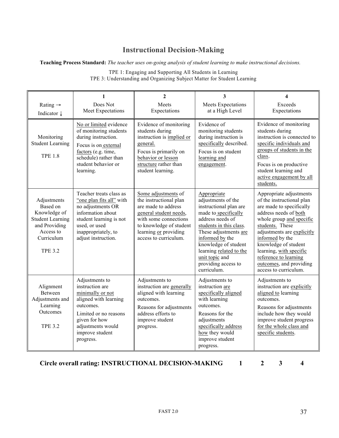## **Instructional Decision-Making**

#### **Teaching Process Standard:** *The teacher uses on-going analysis of student learning to make instructional decisions.*

| Rating $\rightarrow$<br>Indicator ↓                                                                                              | 1<br>Does Not<br>Meet Expectations                                                                                                                                                         | $\mathbf{2}$<br>Meets<br>Expectations                                                                                                                                                                | 3<br>Meets Expectations<br>at a High Level                                                                                                                                                                                                                                                | 4<br>Exceeds<br>Expectations                                                                                                                                                                                                                                                                                                              |
|----------------------------------------------------------------------------------------------------------------------------------|--------------------------------------------------------------------------------------------------------------------------------------------------------------------------------------------|------------------------------------------------------------------------------------------------------------------------------------------------------------------------------------------------------|-------------------------------------------------------------------------------------------------------------------------------------------------------------------------------------------------------------------------------------------------------------------------------------------|-------------------------------------------------------------------------------------------------------------------------------------------------------------------------------------------------------------------------------------------------------------------------------------------------------------------------------------------|
| Monitoring<br><b>Student Learning</b><br><b>TPE 18</b>                                                                           | No or limited evidence<br>of monitoring students<br>during instruction.<br>Focus is on external<br>factors (e.g. time,<br>schedule) rather than<br>student behavior or<br>learning.        | Evidence of monitoring<br>students during<br>instruction is implied or<br>general.<br>Focus is primarily on<br>behavior or lesson<br>structure rather than<br>student learning.                      | Evidence of<br>monitoring students<br>during instruction is<br>specifically described.<br>Focus is on student<br>learning and<br>engagement.                                                                                                                                              | Evidence of monitoring<br>students during<br>instruction is connected to<br>specific individuals and<br>groups of students in the<br>class.<br>Focus is on productive<br>student learning and<br>active engagement by all<br>students.                                                                                                    |
| Adjustments<br>Based on<br>Knowledge of<br><b>Student Learning</b><br>and Providing<br>Access to<br>Curriculum<br><b>TPE 3.2</b> | Teacher treats class as<br>"one plan fits all" with<br>no adjustments OR<br>information about<br>student learning is not<br>used, or used<br>inappropriately, to<br>adjust instruction.    | Some adjustments of<br>the instructional plan<br>are made to address<br>general student needs,<br>with some connections<br>to knowledge of student<br>learning or providing<br>access to curriculum. | Appropriate<br>adjustments of the<br>instructional plan are<br>made to specifically<br>address needs of<br>students in this class.<br>These adjustments are<br>informed by the<br>knowledge of student<br>learning related to the<br>unit topic and<br>providing access to<br>curriculum. | Appropriate adjustments<br>of the instructional plan<br>are made to specifically<br>address needs of both<br>whole group and specific<br>students. These<br>adjustments are explicitly<br>informed by the<br>knowledge of student<br>learning, with specific<br>reference to learning<br>outcomes, and providing<br>access to curriculum. |
| Alignment<br>Between<br>Adjustments and<br>Learning<br>Outcomes<br><b>TPE 3.2</b>                                                | Adjustments to<br>instruction are<br>minimally or not<br>aligned with learning<br>outcomes.<br>Limited or no reasons<br>given for how<br>adjustments would<br>improve student<br>progress. | Adjustments to<br>instruction are generally<br>aligned with learning<br>outcomes.<br>Reasons for adjustments<br>address efforts to<br>improve student<br>progress.                                   | Adjustments to<br>instruction are<br>specifically aligned<br>with learning<br>outcomes.<br>Reasons for the<br>adjustments<br>specifically address<br>how they would<br>improve student<br>progress.                                                                                       | Adjustments to<br>instruction are explicitly<br>aligned to learning<br>outcomes.<br>Reasons for adjustments<br>include how they would<br>improve student progress<br>for the whole class and<br>specific students.                                                                                                                        |

TPE 1: Engaging and Supporting All Students in Learning TPE 3: Understanding and Organizing Subject Matter for Student Learning

**Circle overall rating: INSTRUCTIONAL DECISION-MAKING 1 2 3 4**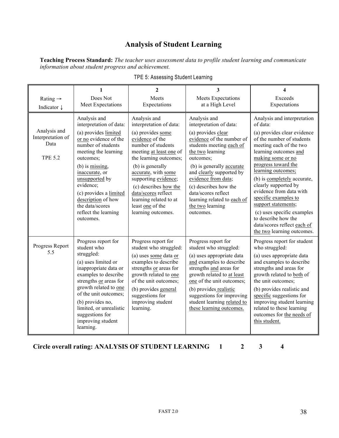## **Analysis of Student Learning**

**Teaching Process Standard:** *The teacher uses assessment data to profile student learning and communicate information about student progress and achievement.*

| Rating $\rightarrow$                                        | 1<br>Does Not                                                                                                                                                                                                                                                                                                                   | $\mathbf{2}$<br>Meets                                                                                                                                                                                                                                                                                                                             | 3<br><b>Meets Expectations</b>                                                                                                                                                                                                                                                                                                                          | 4<br>Exceeds                                                                                                                                                                                                                                                                                                                                                                                                                                                                 |
|-------------------------------------------------------------|---------------------------------------------------------------------------------------------------------------------------------------------------------------------------------------------------------------------------------------------------------------------------------------------------------------------------------|---------------------------------------------------------------------------------------------------------------------------------------------------------------------------------------------------------------------------------------------------------------------------------------------------------------------------------------------------|---------------------------------------------------------------------------------------------------------------------------------------------------------------------------------------------------------------------------------------------------------------------------------------------------------------------------------------------------------|------------------------------------------------------------------------------------------------------------------------------------------------------------------------------------------------------------------------------------------------------------------------------------------------------------------------------------------------------------------------------------------------------------------------------------------------------------------------------|
| Indicator $\downarrow$                                      | Meet Expectations                                                                                                                                                                                                                                                                                                               | Expectations                                                                                                                                                                                                                                                                                                                                      | at a High Level                                                                                                                                                                                                                                                                                                                                         | Expectations                                                                                                                                                                                                                                                                                                                                                                                                                                                                 |
| Analysis and<br>Interpretation of<br>Data<br><b>TPE 5.2</b> | Analysis and<br>interpretation of data:<br>(a) provides limited<br>or no evidence of the<br>number of students<br>meeting the learning<br>outcomes:<br>(b) is missing,<br>inaccurate, or<br>unsupported by<br>evidence;<br>(c) provides a limited<br>description of how<br>the data/scores<br>reflect the learning<br>outcomes. | Analysis and<br>interpretation of data:<br>(a) provides some<br>evidence of the<br>number of students<br>meeting at least one of<br>the learning outcomes;<br>(b) is generally<br>accurate, with some<br>supporting evidence;<br>(c) describes how the<br>data/scores reflect<br>learning related to at<br>least one of the<br>learning outcomes. | Analysis and<br>interpretation of data:<br>(a) provides clear<br>evidence of the number of<br>students meeting each of<br>the two learning<br>outcomes;<br>(b) is generally accurate<br>and clearly supported by<br>evidence from data;<br>(c) describes how the<br>data/scores reflect<br>learning related to each of<br>the two learning<br>outcomes. | Analysis and interpretation<br>of data:<br>(a) provides clear evidence<br>of the number of students<br>meeting each of the two<br>learning outcomes and<br>making some or no<br>progress toward the<br>learning outcomes;<br>(b) is completely accurate,<br>clearly supported by<br>evidence from data with<br>specific examples to<br>support statements;<br>(c) uses specific examples<br>to describe how the<br>data/scores reflect each of<br>the two learning outcomes. |
| Progress Report<br>5.5                                      | Progress report for<br>student who<br>struggled:<br>(a) uses limited or<br>inappropriate data or<br>examples to describe<br>strengths or areas for<br>growth related to one<br>of the unit outcomes;<br>(b) provides no,<br>limited, or unrealistic<br>suggestions for<br>improving student<br>learning.                        | Progress report for<br>student who struggled:<br>(a) uses some data or<br>examples to describe<br>strengths or areas for<br>growth related to one<br>of the unit outcomes;<br>(b) provides general<br>suggestions for<br>improving student<br>learning.                                                                                           | Progress report for<br>student who struggled:<br>(a) uses appropriate data<br>and examples to describe<br>strengths and areas for<br>growth related to at least<br>one of the unit outcomes;<br>(b) provides realistic<br>suggestions for improving<br>student learning related to<br>these learning outcomes.                                          | Progress report for student<br>who struggled:<br>(a) uses appropriate data<br>and examples to describe<br>strengths and areas for<br>growth related to both of<br>the unit outcomes;<br>(b) provides realistic and<br>specific suggestions for<br>improving student learning<br>related to these learning<br>outcomes for the needs of<br>this student.                                                                                                                      |

**Circle overall rating: ANALYSIS OF STUDENT LEARNING 1 2 3 4**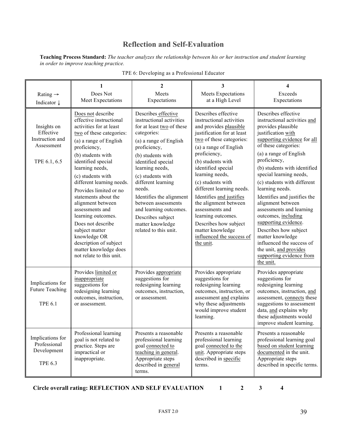## **Reflection and Self-Evaluation**

**Teaching Process Standard:** *The teacher analyzes the relationship between his or her instruction and student learning in order to improve teaching practice.*

|                                                                           | 1                                                                                                                                                                                                                                                                                                                                                                                                                                                                                                                   | $\overline{2}$                                                                                                                                                                                                                                                                                                                                                                                          | 3                                                                                                                                                                                                                                                                                                                                                                                                                                                                                  | 4                                                                                                                                                                                                                                                                                                                                                                                                                                                                                                                                                                                          |
|---------------------------------------------------------------------------|---------------------------------------------------------------------------------------------------------------------------------------------------------------------------------------------------------------------------------------------------------------------------------------------------------------------------------------------------------------------------------------------------------------------------------------------------------------------------------------------------------------------|---------------------------------------------------------------------------------------------------------------------------------------------------------------------------------------------------------------------------------------------------------------------------------------------------------------------------------------------------------------------------------------------------------|------------------------------------------------------------------------------------------------------------------------------------------------------------------------------------------------------------------------------------------------------------------------------------------------------------------------------------------------------------------------------------------------------------------------------------------------------------------------------------|--------------------------------------------------------------------------------------------------------------------------------------------------------------------------------------------------------------------------------------------------------------------------------------------------------------------------------------------------------------------------------------------------------------------------------------------------------------------------------------------------------------------------------------------------------------------------------------------|
| Rating $\rightarrow$<br>Indicator $\downarrow$                            | Does Not<br>Meet Expectations                                                                                                                                                                                                                                                                                                                                                                                                                                                                                       | Meets<br>Expectations                                                                                                                                                                                                                                                                                                                                                                                   | Meets Expectations<br>at a High Level                                                                                                                                                                                                                                                                                                                                                                                                                                              | Exceeds<br>Expectations                                                                                                                                                                                                                                                                                                                                                                                                                                                                                                                                                                    |
| Insights on<br>Effective<br>Instruction and<br>Assessment<br>TPE 6.1, 6.5 | Does not describe<br>effective instructional<br>activities for at least<br>two of these categories:<br>(a) a range of English<br>proficiency,<br>(b) students with<br>identified special<br>learning needs,<br>(c) students with<br>different learning needs.<br>Provides limited or no<br>statements about the<br>alignment between<br>assessments and<br>learning outcomes.<br>Does not describe<br>subject matter<br>knowledge OR<br>description of subject<br>matter knowledge does<br>not relate to this unit. | Describes effective<br>instructional activities<br>for at least two of these<br>categories:<br>(a) a range of English<br>proficiency,<br>(b) students with<br>identified special<br>learning needs,<br>(c) students with<br>different learning<br>needs.<br>Identifies the alignment<br>between assessments<br>and learning outcomes.<br>Describes subject<br>matter knowledge<br>related to this unit. | Describes effective<br>instructional activities<br>and provides plausible<br>justification for at least<br>two of these categories:<br>(a) a range of English<br>proficiency,<br>(b) students with<br>identified special<br>learning needs,<br>(c) students with<br>different learning needs.<br>Identifies and justifies<br>the alignment between<br>assessments and<br>learning outcomes.<br>Describes how subject<br>matter knowledge<br>influenced the success of<br>the unit. | Describes effective<br>instructional activities and<br>provides plausible<br>justification with<br>supporting evidence for all<br>of these categories:<br>(a) a range of English<br>proficiency,<br>(b) students with identified<br>special learning needs,<br>(c) students with different<br>learning needs.<br>Identifies and justifies the<br>alignment between<br>assessments and learning<br>outcomes, including<br>supporting evidence.<br>Describes how subject<br>matter knowledge<br>influenced the success of<br>the unit, and provides<br>supporting evidence from<br>the unit. |
| Implications for<br><b>Future Teaching</b><br><b>TPE 6.1</b>              | Provides limited or<br>inappropriate<br>suggestions for<br>redesigning learning<br>outcomes, instruction,<br>or assessment.                                                                                                                                                                                                                                                                                                                                                                                         | Provides appropriate<br>suggestions for<br>redesigning learning<br>outcomes, instruction,<br>or assessment.                                                                                                                                                                                                                                                                                             | Provides appropriate<br>suggestions for<br>redesigning learning<br>outcomes, instruction, or<br>assessment and explains<br>why these adjustments<br>would improve student<br>learning.                                                                                                                                                                                                                                                                                             | Provides appropriate<br>suggestions for<br>redesigning learning<br>outcomes, instruction, and<br>assessment, connects these<br>suggestions to assessment<br>data, and explains why<br>these adjustments would<br>improve student learning.                                                                                                                                                                                                                                                                                                                                                 |
| Implications for<br>Professional<br>Development<br><b>TPE 6.3</b>         | Professional learning<br>goal is not related to<br>practice. Steps are<br>impractical or<br>inappropriate.                                                                                                                                                                                                                                                                                                                                                                                                          | Presents a reasonable<br>professional learning<br>goal connected to<br>teaching in general.<br>Appropriate steps<br>described in general<br>terms.                                                                                                                                                                                                                                                      | Presents a reasonable<br>professional learning<br>goal connected to the<br>unit. Appropriate steps<br>described in specific<br>terms.                                                                                                                                                                                                                                                                                                                                              | Presents a reasonable<br>professional learning goal<br>based on student learning<br>documented in the unit.<br>Appropriate steps<br>described in specific terms.                                                                                                                                                                                                                                                                                                                                                                                                                           |

|  |  | TPE 6: Developing as a Professional Educator |  |
|--|--|----------------------------------------------|--|
|  |  |                                              |  |

**Circle overall rating: REFLECTION AND SELF EVALUATION 1 2 3 4**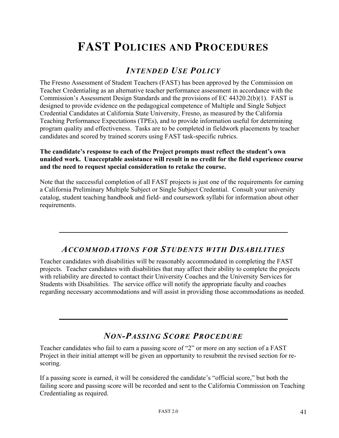## **FAST POLICIES AND PROCEDURES**

## *INTENDED USE POLICY*

The Fresno Assessment of Student Teachers (FAST) has been approved by the Commission on Teacher Credentialing as an alternative teacher performance assessment in accordance with the Commission's Assessment Design Standards and the provisions of EC 44320.2(b)(1). FAST is designed to provide evidence on the pedagogical competence of Multiple and Single Subject Credential Candidates at California State University, Fresno, as measured by the California Teaching Performance Expectations (TPEs), and to provide information useful for determining program quality and effectiveness. Tasks are to be completed in fieldwork placements by teacher candidates and scored by trained scorers using FAST task-specific rubrics.

#### **The candidate's response to each of the Project prompts must reflect the student's own unaided work. Unacceptable assistance will result in no credit for the field experience course and the need to request special consideration to retake the course.**

Note that the successful completion of all FAST projects is just one of the requirements for earning a California Preliminary Multiple Subject or Single Subject Credential. Consult your university catalog, student teaching handbook and field- and coursework syllabi for information about other requirements.

## *ACCOMMODATIONS FOR STUDENTS WITH DISABILITIES*

Teacher candidates with disabilities will be reasonably accommodated in completing the FAST projects. Teacher candidates with disabilities that may affect their ability to complete the projects with reliability are directed to contact their University Coaches and the University Services for Students with Disabilities. The service office will notify the appropriate faculty and coaches regarding necessary accommodations and will assist in providing those accommodations as needed.

## *NON-PASSING SCORE PROCEDURE*

Teacher candidates who fail to earn a passing score of "2" or more on any section of a FAST Project in their initial attempt will be given an opportunity to resubmit the revised section for rescoring.

If a passing score is earned, it will be considered the candidate's "official score," but both the failing score and passing score will be recorded and sent to the California Commission on Teaching Credentialing as required.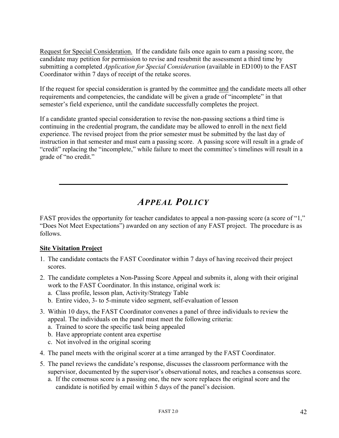Request for Special Consideration. If the candidate fails once again to earn a passing score, the candidate may petition for permission to revise and resubmit the assessment a third time by submitting a completed *Application for Special Consideration* (available in ED100) to the FAST Coordinator within 7 days of receipt of the retake scores.

If the request for special consideration is granted by the committee and the candidate meets all other requirements and competencies, the candidate will be given a grade of "incomplete" in that semester's field experience, until the candidate successfully completes the project.

If a candidate granted special consideration to revise the non-passing sections a third time is continuing in the credential program, the candidate may be allowed to enroll in the next field experience. The revised project from the prior semester must be submitted by the last day of instruction in that semester and must earn a passing score. A passing score will result in a grade of "credit" replacing the "incomplete," while failure to meet the committee's timelines will result in a grade of "no credit."

## *APPEAL POLICY*

FAST provides the opportunity for teacher candidates to appeal a non-passing score (a score of "1," "Does Not Meet Expectations") awarded on any section of any FAST project. The procedure is as follows.

#### **Site Visitation Project**

- 1. The candidate contacts the FAST Coordinator within 7 days of having received their project scores.
- 2. The candidate completes a Non-Passing Score Appeal and submits it, along with their original work to the FAST Coordinator. In this instance, original work is:
	- a. Class profile, lesson plan, Activity/Strategy Table
	- b. Entire video, 3- to 5-minute video segment, self-evaluation of lesson
- 3. Within 10 days, the FAST Coordinator convenes a panel of three individuals to review the appeal. The individuals on the panel must meet the following criteria:
	- a. Trained to score the specific task being appealed
	- b. Have appropriate content area expertise
	- c. Not involved in the original scoring
- 4. The panel meets with the original scorer at a time arranged by the FAST Coordinator.
- 5. The panel reviews the candidate's response, discusses the classroom performance with the supervisor, documented by the supervisor's observational notes, and reaches a consensus score.
	- a. If the consensus score is a passing one, the new score replaces the original score and the candidate is notified by email within 5 days of the panel's decision.